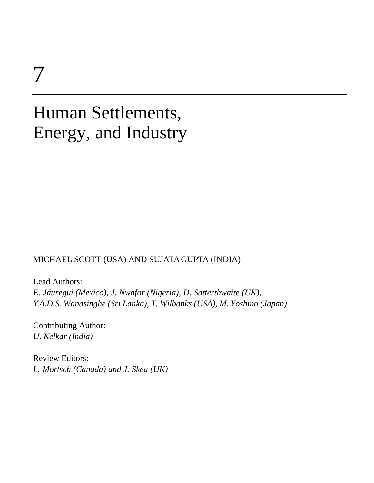# 7

## Human Settlements, Energy, and Industry

### MICHAEL SCOTT (USA) AND SUJATAGUPTA (INDIA)

Lead Authors: *E. Jáuregui (Mexico), J. Nwafor (Nigeria), D. Satterthwaite (UK), Y.A.D.S. Wanasinghe (Sri Lanka), T. Wilbanks (USA), M. Yoshino (Japan)*

Contributing Author: *U. Kelkar (India)*

Review Editors: *L. Mortsch (Canada) and J. Skea (UK)*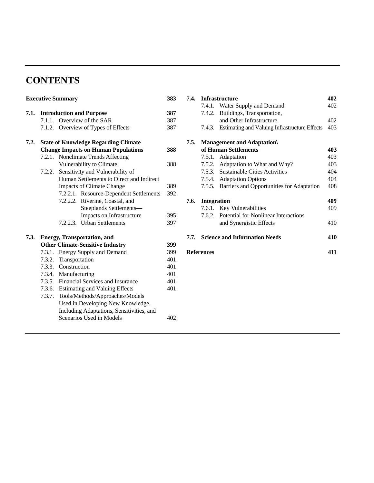## **CONTENTS**

|      |        | <b>Executive Summary</b>                    | 383 |
|------|--------|---------------------------------------------|-----|
| 7.1. |        | <b>Introduction and Purpose</b>             | 387 |
|      |        | 7.1.1. Overview of the SAR                  | 387 |
|      | 7.1.2. | Overview of Types of Effects                | 387 |
| 7.2. |        | <b>State of Knowledge Regarding Climate</b> |     |
|      |        | <b>Change Impacts on Human Populations</b>  | 388 |
|      | 7.2.1. | Nonclimate Trends Affecting                 |     |
|      |        | Vulnerability to Climate                    | 388 |
|      |        | 7.2.2. Sensitivity and Vulnerability of     |     |
|      |        | Human Settlements to Direct and Indirect    |     |
|      |        | <b>Impacts of Climate Change</b>            | 389 |
|      |        | 7.2.2.1. Resource-Dependent Settlements     | 392 |
|      |        | 7.2.2.2. Riverine, Coastal, and             |     |
|      |        | Steeplands Settlements-                     |     |
|      |        | Impacts on Infrastructure                   | 395 |
|      |        | 7.2.2.3. Urban Settlements                  | 397 |
| 7.3. |        | <b>Energy, Transportation, and</b>          |     |
|      |        | <b>Other Climate-Sensitive Industry</b>     | 399 |
|      |        | 7.3.1. Energy Supply and Demand             | 399 |
|      |        | 7.3.2. Transportation                       | 401 |
|      |        | 7.3.3. Construction                         | 401 |
|      |        | 7.3.4. Manufacturing                        | 401 |
|      |        | 7.3.5. Financial Services and Insurance     | 401 |
|      |        | 7.3.6. Estimating and Valuing Effects       | 401 |
|      | 7.3.7. | Tools/Methods/Approaches/Models             |     |
|      |        | Used in Developing New Knowledge,           |     |
|      |        | Including Adaptations, Sensitivities, and   |     |
|      |        | Scenarios Used in Models                    | 402 |
|      |        |                                             |     |

| 7.4. | <b>Infrastructure</b> |                                                      |     |  |
|------|-----------------------|------------------------------------------------------|-----|--|
|      |                       | 7.4.1. Water Supply and Demand                       | 402 |  |
|      |                       | 7.4.2. Buildings, Transportation,                    |     |  |
|      |                       | and Other Infrastructure                             | 402 |  |
|      |                       | 7.4.3. Estimating and Valuing Infrastructure Effects | 403 |  |
|      |                       | 7.5. Management and Adaptation\                      |     |  |
|      |                       | of Human Settlements                                 | 403 |  |
|      |                       | 7.5.1. Adaptation                                    | 403 |  |
|      |                       | 7.5.2. Adaptation to What and Why?                   | 403 |  |
|      |                       | 7.5.3. Sustainable Cities Activities                 | 404 |  |
|      |                       | 7.5.4. Adaptation Options                            | 404 |  |
|      |                       | 7.5.5. Barriers and Opportunities for Adaptation     | 408 |  |
|      | 7.6. Integration      |                                                      | 409 |  |
|      |                       | 7.6.1. Key Vulnerabilities                           | 409 |  |
|      |                       | 7.6.2. Potential for Nonlinear Interactions          |     |  |
|      |                       | and Synergistic Effects                              | 410 |  |
|      |                       | 7.7. Science and Information Needs                   | 410 |  |
|      | <b>References</b>     |                                                      | 411 |  |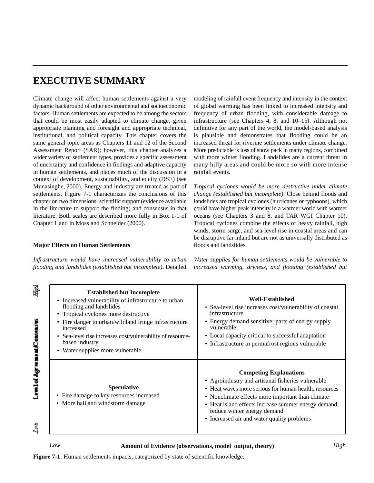## **EXECUTIVE SUMMARY**

Climate change will affect human settlements against a very dynamic background of other environmental and socioeconomic factors. Human settlements are expected to be among the sectors that could be most easily adapted to climate change, given appropriate planning and foresight and appropriate technical, institutional, and political capacity. This chapter covers the same general topic areas as Chapters 11 and 12 of the Second Assessment Report (SAR); however, this chapter analyzes a wider variety of settlement types, provides a specific assessment of uncertainty and confidence in findings and adaptive capacity in human settlements, and places much of the discussion in a context of development, sustainability, and equity (DSE) (see Munasinghe, 2000). Energy and industry are treated as part of settlements. Figure 7-1 characterizes the conclusions of this chapter on two dimensions: scientific support (evidence available in the literature to support the finding) and consensus in that literature. Both scales are described more fully in Box 1-1 of Chapter 1 and in Moss and Schneider (2000).

#### **Major Effects on Human Settlements**

*Infrastructure would have increased vulnerability to urban flooding and landslides (established but incomplete)*. Detailed

modeling of rainfall event frequency and intensity in the context of global warming has been linked to increased intensity and frequency of urban flooding, with considerable damage to infrastructure (see Chapters 4, 8, and 10–15). Although not definitive for any part of the world, the model-based analysis is plausible and demonstrates that flooding could be an increased threat for riverine settlements under climate change. More predictable is loss of snow pack in many regions, combined with more winter flooding. Landslides are a current threat in many hilly areas and could be more so with more intense rainfall events.

*Tropical cyclones would be more destructive under climate change (established but incomplete)*. Close behind floods and landslides are tropical cyclones (hurricanes or typhoons), which could have higher peak intensity in a warmer world with warmer oceans (see Chapters 3 and 8, and TAR WGI Chapter 10). Tropical cyclones combine the effects of heavy rainfall, high winds, storm surge, and sea-level rise in coastal areas and can be disruptive far inland but are not as universally distributed as floods and landslides.

*Water supplies for human settlements would be vulnerable to increased warming, dryness, and flooding (established but*

Level of dgr rememic oncensus  $\overline{L}\alpha$ 8

¥

| <b>Established but Incomplete</b><br>• Increased vulnerability of infrastructure to urban<br>flooding and landslides<br>• Tropical cyclones more destructive<br>• Fire danger to urban/wildland fringe infrastructure<br>increased<br>• Sea-level rise increases cost/vulnerability of resource-<br>based industry<br>• Water supplies more vulnerable | <b>Well-Established</b><br>• Sea-level rise increases cost/vulnerability of coastal<br>infrastructure<br>• Energy demand sensitive; parts of energy supply<br>vulnerable<br>• Local capacity critical to successful adaptation<br>• Infrastructure in permafrost regions vulnerable                                                  |
|--------------------------------------------------------------------------------------------------------------------------------------------------------------------------------------------------------------------------------------------------------------------------------------------------------------------------------------------------------|--------------------------------------------------------------------------------------------------------------------------------------------------------------------------------------------------------------------------------------------------------------------------------------------------------------------------------------|
| <b>Speculative</b><br>• Fire damage to key resources increased<br>• More hail and windstorm damage                                                                                                                                                                                                                                                     | <b>Competing Explanations</b><br>• Agroindustry and artisanal fisheries vulnerable<br>• Heat waves more serious for human health, resources<br>• Nonclimate effects more important than climate<br>• Heat island effects increase summer energy demand,<br>reduce winter energy demand<br>• Increased air and water quality problems |

#### *Low* **Amount of Evidence (observations, model output, theory)** *High*

**Figure 7-1**: Human settlements impacts, categorized by state of scientific knowledge.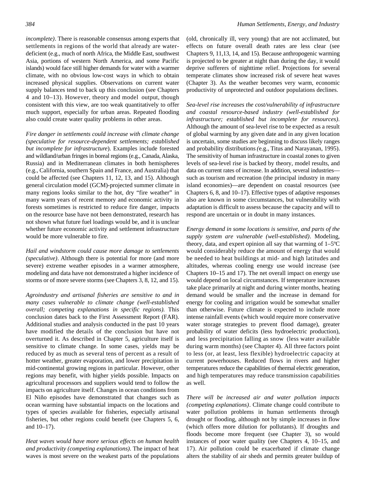*incomplete)*. There is reasonable consensus among experts that settlements in regions of the world that already are waterdeficient (e.g., much of north Africa, the Middle East, southwest Asia, portions of western North America, and some Pacific islands) would face still higher demands for water with a warmer climate, with no obvious low-cost ways in which to obtain increased physical supplies. Observations on current water supply balances tend to back up this conclusion (see Chapters 4 and 10–13). However, theory and model output, though consistent with this view, are too weak quantitatively to offer much support, especially for urban areas. Repeated flooding also could create water quality problems in other areas.

*Fire danger in settlements could increase with climate change (speculative for resource-dependent settlements; established but incomplete for infrastructure*). Examples include forested and wildland/urban fringes in boreal regions (e.g., Canada, Alaska, Russia) and in Mediterranean climates in both hemispheres (e.g., California, southern Spain and France, and Australia) that could be affected (see Chapters 11, 12, 13, and 15). Although general circulation model (GCM)-projected summer climate in many regions looks similar to the hot, dry "fire weather" in many warm years of recent memory and economic activity in forests sometimes is restricted to reduce fire danger, impacts on the resource base have not been demonstrated, research has not shown what future fuel loadings would be, and it is unclear whether future economic activity and settlement infrastructure would be more vulnerable to fire.

*Hail and windstorm could cause more damage to settlements (speculative)*. Although there is potential for more (and more severe) extreme weather episodes in a warmer atmosphere, modeling and data have not demonstrated a higher incidence of storms or of more severe storms (see Chapters 3, 8, 12, and 15).

*Agroindustry and artisanal fisheries are sensitive to and in many cases vulnerable to climate change (well-established overall; competing explanations in specific regions).* This conclusion dates back to the First Assessment Report (FAR). Additional studies and analysis conducted in the past 10 years have modified the details of the conclusion but have not overturned it. As described in Chapter 5, agriculture itself is sensitive to climate change. In some cases, yields may be reduced by as much as several tens of percent as a result of hotter weather, greater evaporation, and lower precipitation in mid-continental growing regions in particular. However, other regions may benefit, with higher yields possible. Impacts on agricultural processors and suppliers would tend to follow the impacts on agriculture itself. Changes in ocean conditions from El Niño episodes have demonstrated that changes such as ocean warming have substantial impacts on the locations and types of species available for fisheries, especially artisanal fisheries, but other regions could benefit (see Chapters 5, 6, and 10–17).

*Heat waves would have more serious effects on human health and productivity (competing explanations)*. The impact of heat waves is most severe on the weakest parts of the populations (old, chronically ill, very young) that are not acclimated, but e ffects on future overall death rates are less clear (see Chapters 9, 11, 13, 14, and 15). Because anthropogenic warming is projected to be greater at night than during the day, it would deprive sufferers of nighttime relief. Projections for several temperate climates show increased risk of severe heat waves (Chapter 3). As the weather becomes very warm, economic productivity of unprotected and outdoor populations declines.

*Sea-level rise increases the cost/vulnerability of infrastructure* and coastal resource-based industry (well-established for *infrastructure; established but incomplete for resources).* Although the amount of sea-level rise to be expected as a result of global warming by any given date and in any given location is uncertain, some studies are beginning to discuss likely ranges and probability distributions *(*e.g., Titus and Narayanan, 1995). The sensitivity of human infrastructure in coastal zones to given levels of sea-level rise is backed by theory, model results, and data on current rates of increase. In addition, several industries such as tourism and recreation (the principal industry in many island economies)—are dependent on coastal resources (see Chapters 6, 8, and 10–17). Effective types of adaptive responses also are known in some circumstances, but vulnerability with adaptation is difficult to assess because the capacity and will to respond are uncertain or in doubt in many instances.

*Energy demand in some locations is sensitive, and parts of the supply system are vulnerable (well-established)*. Modeling, theory, data, and expert opinion all say that warming of 1–5ºC would considerably reduce the amount of energy that would be needed to heat buildings at mid- and high latitudes and altitudes, whereas cooling energy use would increase (see Chapters 10–15 and 17). The net overall impact on energy use would depend on local circumstances. If temperature increases take place primarily at night and during winter months, heating demand would be smaller and the increase in demand for energy for cooling and irrigation would be somewhat smaller than otherwise. Future climate is expected to include more intense rainfall events (which would require more conservative water storage strategies to prevent flood damage), greater probability of water deficits (less hydroelectric production), and less precipitation falling as snow (less water available during warm months) (see Chapter 4). All three factors point to less (or, at least, less flexible) hydroelectric capacity at current powerhouses. Reduced flows in rivers and higher temperatures reduce the capabilities of thermal electric generation, and high temperatures may reduce transmission capabilities as well.

*There will be increased air and water pollution impacts (competing explanations)*. Climate change could contribute to water pollution problems in human settlements through drought or flooding, although not by simple increases in flow (which offers more dilution for pollutants). If droughts and floods become more frequent (see Chapter 3), so would instances of poor water quality (see Chapters 4, 10–15, and 17). Air pollution could be exacerbated if climate change alters the stability of air sheds and permits greater buildup of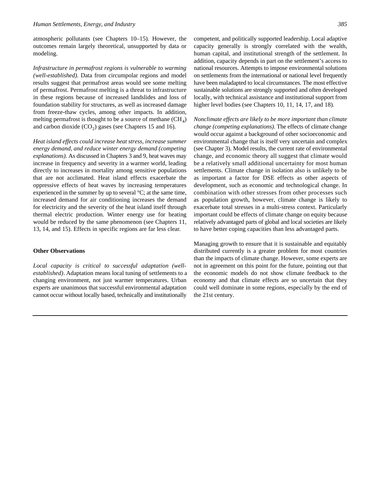atmospheric pollutants (see Chapters 10–15). However, the outcomes remain largely theoretical, unsupported by data or modeling.

*Infrastructure in permafrost regions is vulnerable to warming (well-established)*. Data from circumpolar regions and model results suggest that permafrost areas would see some melting of permafrost. Permafrost melting is a threat to infrastructure in these regions because of increased landslides and loss of foundation stability for structures, as well as increased damage from freeze-thaw cycles, among other impacts. In addition, melting permafrost is thought to be a source of methane  $(CH_4)$ and carbon dioxide  $(CO_2)$  gases (see Chapters 15 and 16).

*Heat island effects could increase heat stress, increase summer energy demand, and reduce winter energy demand (competing explanations*). As discussed in Chapters 3 and 9, heat waves may increase in frequency and severity in a warmer world, leading directly to increases in mortality among sensitive populations that are not acclimated. Heat island effects exacerbate the oppressive effects of heat waves by increasing temperatures experienced in the summer by up to several °C; at the same time, increased demand for air conditioning increases the demand for electricity and the severity of the heat island itself through thermal electric production. Winter energy use for heating would be reduced by the same phenomenon (see Chapters 11, 13, 14, and 15). Effects in specific regions are far less clear.

#### **Other Observations**

*Local capacity is critical to successful adaptation (wellestablished*). Adaptation means local tuning of settlements to a changing environment, not just warmer temperatures. Urban experts are unanimous that successful environmental adaptation cannot occur without locally based, technically and institutionally

competent, and politically supported leadership. Local adaptive capacity generally is strongly correlated with the wealth, human capital, and institutional strength of the settlement. In addition, capacity depends in part on the settlement's access to national resources. Attempts to impose environmental solutions on settlements from the international or national level frequently have been maladapted to local circumstances. The most effective sustainable solutions are strongly supported and often developed locally, with technical assistance and institutional support from

*Nonclimate effects are likely to be more important than climate change (competing explanations)*. The effects of climate change would occur against a background of other socioeconomic and environmental change that is itself very uncertain and complex (see Chapter 3). Model results, the current rate of environmental change, and economic theory all suggest that climate would be a relatively small additional uncertainty for most human settlements. Climate change in isolation also is unlikely to be as important a factor for DSE effects as other aspects of development, such as economic and technological change. In combination with other stresses from other processes such as population growth, however, climate change is likely to exacerbate total stresses in a multi-stress context. Particularly important could be effects of climate change on equity because relatively advantaged parts of global and local societies are likely to have better coping capacities than less advantaged parts.

higher level bodies (see Chapters 10, 11, 14, 17, and 18).

Managing growth to ensure that it is sustainable and equitably distributed currently is a greater problem for most countries than the impacts of climate change. However, some experts are not in agreement on this point for the future, pointing out that the economic models do not show climate feedback to the economy and that climate effects are so uncertain that they could well dominate in some regions, especially by the end of the 21st century.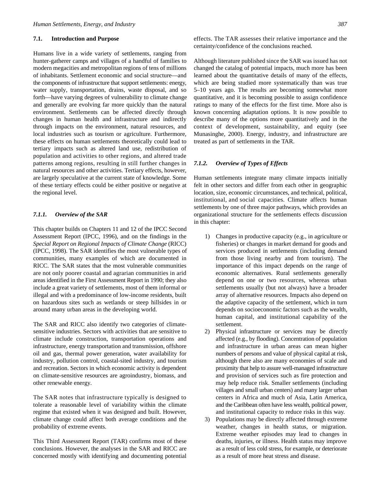#### **7.1. Introduction and Purpose**

Humans live in a wide variety of settlements, ranging from hunter-gatherer camps and villages of a handful of families to modern megacities and metropolitan regions of tens of millions of inhabitants. Settlement economic and social structure—and the components of infrastructure that support settlements: energy, water supply, transportation, drains, waste disposal, and so forth—have varying degrees of vulnerability to climate change and generally are evolving far more quickly than the natural environment. Settlements can be affected directly through changes in human health and infrastructure and indirectly through impacts on the environment, natural resources, and local industries such as tourism or agriculture. Furthermore, these effects on human settlements theoretically could lead to tertiary impacts such as altered land use, redistribution of population and activities to other regions, and altered trade patterns among regions, resulting in still further changes in natural resources and other activities. Tertiary effects, however, are largely speculative at the current state of knowledge. Some of these tertiary effects could be either positive or negative at the regional level.

#### *7.1.1. Overview of the SAR*

This chapter builds on Chapters 11 and 12 of the IPCC Second Assessment Report (IPCC, 1996), and on the findings in the **Special Report on Regional Impacts of Climate Change (RICC)** (IPCC, 1998). The SAR identifies the most vulnerable types of communities, many examples of which are documented in RICC. The SAR states that the most vulnerable communities are not only poorer coastal and agrarian communities in arid areas identified in the First Assessment Report in 1990; they also include a great variety of settlements, most of them informal or illegal and with a predominance of low-income residents, built on hazardous sites such as wetlands or steep hillsides in or around many urban areas in the developing world.

The SAR and RICC also identify two categories of climatesensitive industries. Sectors with activities that are sensitive to climate include construction, transportation operations and infrastructure*,* energy transportation and transmission, offshore oil and gas, thermal power generation, water availability for industry, pollution control, coastal-sited industry, and tourism and recreation. Sectors in which economic activity is dependent on climate-sensitive resources are agroindustry, biomass, and other renewable energy.

The SAR notes that infrastructure typically is designed to tolerate a reasonable level of variability within the climate regime that existed when it was designed and built. However, climate change could affect both average conditions and the probability of extreme events.

This Third Assessment Report (TAR) confirms most of these conclusions. However, the analyses in the SAR and RICC are concerned mostly with identifying and documenting potential

e ffects. The TAR assesses their relative importance and the certainty/confidence of the conclusions reached.

Although literature published since the SAR was issued has not changed the catalog of potential impacts, much more has been learned about the quantitative details of many of the effects, which are being studied more systematically than was true 5–10 years ago. The results are becoming somewhat more quantitative, and it is becoming possible to assign confidence ratings to many of the effects for the first time. More also is known concerning adaptation options. It is now possible to describe many of the options more quantitatively and in the context of development, sustainability, and equity (see Munasinghe, 2000). Energy, industry, and infrastructure are treated as part of settlements in the TAR.

#### *7.1.2. Overview of Types of Effects*

Human settlements integrate many climate impacts initially felt in other sectors and differ from each other in geographic location, size, economic circumstances, and technical, political, institutional, and social capacities. Climate affects human settlements by one of three major pathways, which provides an organizational structure for the settlements effects discussion in this chapter:

- 1) Changes in productive capacity (e.g., in agriculture or fisheries) or changes in market demand for goods and services produced in settlements (including demand from those living nearby and from tourism). The importance of this impact depends on the range of economic alternatives. Rural settlements generally depend on one or two resources, whereas urban settlements usually (but not always) have a broader array of alternative resources. Impacts also depend on the adaptive capacity of the settlement, which in turn depends on socioeconomic factors such as the wealth, human capital, and institutional capability of the settlement
- 2) Physical infrastructure or services may be directly a ffected (e.g., by flooding). Concentration of population and infrastructure in urban areas can mean higher numbers of persons and value of physical capital at risk, although there also are many economies of scale and proximity that help to assure well-managed infrastructure and provision of services such as fire protection and may help reduce risk. Smaller settlements (including villages and small urban centers) and many larger urban centers in Africa and much of Asia, Latin America, and the Caribbean often have less wealth, political power, and institutional capacity to reduce risks in this way.
- 3) Populations may be directly affected through extreme weather, changes in health status, or migration. Extreme weather episodes may lead to changes in deaths, injuries, or illness. Health status may improve as a result of less cold stress, for example, or deteriorate as a result of more heat stress and disease.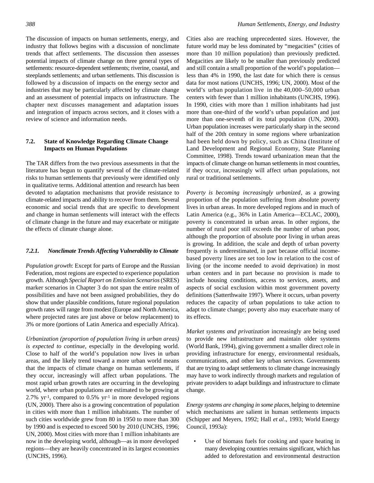The discussion of impacts on human settlements, energy, and industry that follows begins with a discussion of nonclimate trends that affect settlements. The discussion then assesses potential impacts of climate change on three general types of settlements: resource-dependent settlements; riverine, coastal, and steeplands settlements; and urban settlements. This discussion is followed by a discussion of impacts on the energy sector and industries that may be particularly affected by climate change and an assessment of potential impacts on infrastructure. The chapter next discusses management and adaptation issues and integration of impacts across sectors, and it closes with a review of science and information needs.

#### **7.2. State of Knowledge Regarding Climate Change Impacts on Human Populations**

The TAR differs from the two previous assessments in that the literature has begun to quantify several of the climate-related risks to human settlements that previously were identified only in qualitative terms. Additional attention and research has been devoted to adaptation mechanisms that provide resistance to climate-related impacts and ability to recover from them. Several economic and social trends that are specific to development and change in human settlements will interact with the effects of climate change in the future and may exacerbate or mitigate the effects of climate change alone.

#### *7 . 2 . 1 . Nonclimate Trends A ffecting Vulnerability to Climate*

*Population growth*: Except for parts of Europe and the Russian Federation, most regions are expected to experience population growth. Although *Special Report on Emission Scenarios* (SRES) marker scenarios in Chapter 3 do not span the entire realm of possibilities and have not been assigned probabilities, they do show that under plausible conditions, future regional population growth rates will range from modest (Europe and North America, where projected rates are just above or below replacement) to 3% or more (portions of Latin America and especially Africa).

*Urbanization (proportion of population living in urban areas) is expected to continue*, especially in the developing world. Close to half of the world's population now lives in urban areas, and the likely trend toward a more urban world means that the impacts of climate change on human settlements, if they occur, increasingly will affect urban populations. The most rapid urban growth rates are occurring in the developing world, where urban populations are estimated to be growing at 2.7% yr<sup>-1</sup>, compared to 0.5% yr<sup>-1</sup> in more developed regions (UN, 2000). There also is a growing concentration of population in cities with more than 1 million inhabitants. The number of such cities worldwide grew from 80 in 1950 to more than 300 by 1990 and is expected to exceed 500 by 2010 (UNCHS, 1996; UN, 2000). Most cities with more than 1 million inhabitants are now in the developing world, although—as in more developed regions—they are heavily concentrated in its largest economies (UNCHS, 1996).

Cities also are reaching unprecedented sizes. However, the future world may be less dominated by "megacities" (cities of more than 10 million population) than previously predicted. Megacities are likely to be smaller than previously predicted and still contain a small proportion of the world's population less than 4% in 1990, the last date for which there is census data for most nations (UNCHS, 1996; UN, 2000). Most of the world's urban population live in the  $40,000-50,000$  urban centers with fewer than 1 million inhabitants (UNCHS, 1996). In 1990, cities with more than 1 million inhabitants had just more than one-third of the world's urban population and just more than one-seventh of its total population (UN, 2000). Urban population increases were particularly sharp in the second half of the 20th century in some regions where urbanization had been held down by policy, such as China (Institute of Land Development and Regional Economy, State Planning Committee, 1998). Trends toward urbanization mean that the impacts of climate change on human settlements in most countries, if they occur, increasingly will affect urban populations, not rural or traditional settlements.

*Poverty is becoming increasingly urbanized*, as a growing proportion of the population suffering from absolute poverty lives in urban areas. In more developed regions and in much of Latin America (e.g., 36% in Latin America—ECLAC, 2000), poverty is concentrated in urban areas. In other regions, the number of rural poor still exceeds the number of urban poor, although the proportion of absolute poor living in urban areas is growing. In addition, the scale and depth of urban poverty frequently is underestimated, in part because official incomebased poverty lines are set too low in relation to the cost of living (or the income needed to avoid deprivation) in most urban centers and in part because no provision is made to include housing conditions, access to services, assets, and aspects of social exclusion within most government poverty definitions (Satterthwaite 1997). Where it occurs, urban poverty reduces the capacity of urban populations to take action to adapt to climate change; poverty also may exacerbate many of its effects.

*Market systems and privatization* increasingly are being used to provide new infrastructure and maintain older systems (World Bank, 1994), giving government a smaller direct role in providing infrastructure for energy, environmental residuals, communications, and other key urban services. Governments that are trying to adapt settlements to climate change increasingly may have to work indirectly through markets and regulation of private providers to adapt buildings and infrastructure to climate change.

*Energy systems are changing in some places, helping to determine* which mechanisms are salient in human settlements impacts (Schipper and Meyers, 1992; Hall *et al*., 1993; World Energy Council, 1993a):

Use of biomass fuels for cooking and space heating in many developing countries remains significant, which has added to deforestation and environmental destruction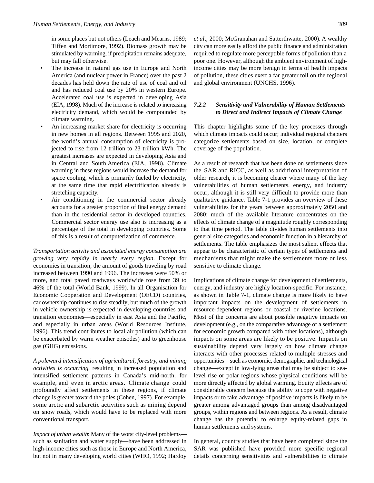in some places but not others (Leach and Mearns, 1989; Tiffen and Mortimore, 1992). Biomass growth may be stimulated by warming, if precipitation remains adequate, but may fall otherwise.

- The increase in natural gas use in Europe and North America (and nuclear power in France) over the past 2 decades has held down the rate of use of coal and oil and has reduced coal use by 20% in western Europe. Accelerated coal use is expected in developing Asia (EIA, 1998). Much of the increase is related to increasing electricity demand, which would be compounded by climate warming.
- An increasing market share for electricity is occurring in new homes in all regions. Between 1995 and 2020, the world's annual consumption of electricity is projected to rise from 12 trillion to 23 trillion kWh. The greatest increases are expected in developing Asia and in Central and South America (EIA, 1998). Climate warming in these regions would increase the demand for space cooling, which is primarily fueled by electricity, at the same time that rapid electrification already is stretching capacity.
- Air conditioning in the commercial sector already accounts for a greater proportion of final energy demand than in the residential sector in developed countries. Commercial sector energy use also is increasing as a percentage of the total in developing countries. Some of this is a result of computerization of commerce.

*Transportation activity and associated energy consumption are growing very rapidly in nearly every region*. Except for economies in transition, the amount of goods traveling by road increased between 1990 and 1996. The increases were 50% or more, and total paved roadways worldwide rose from 39 to 46% of the total (World Bank, 1999). In all Organisation for Economic Cooperation and Development (OECD) countries, car ownership continues to rise steadily, but much of the growth in vehicle ownership is expected in developing countries and transition economies—especially in east Asia and the Pacific, and especially in urban areas (World Resources Institute, 1996). This trend contributes to local air pollution (which can be exacerbated by warm weather episodes) and to greenhouse gas (GHG) emissions.

*A poleward intensification of agricultural, forestry, and mining activities is occurring*, resulting in increased population and intensified settlement patterns in Canada's mid-north, for example, and even in arctic areas. Climate change could profoundly affect settlements in these regions, if climate change is greater toward the poles (Cohen, 1997). For example, some arctic and subarctic activities such as mining depend on snow roads, which would have to be replaced with more conventional transport.

*Impact of urban wealth*: Many of the worst city-level problems such as sanitation and water supply—have been addressed in high-income cities such as those in Europe and North America, but not in many developing world cities (WHO, 1992; Hardoy

*et al*., 2000; McGranahan and Satterthwaite, 2000). A wealthy city can more easily afford the public finance and administration required to regulate more perceptible forms of pollution than a poor one. However, although the ambient environment of highincome cities may be more benign in terms of health impacts of pollution, these cities exert a far greater toll on the regional and global environment (UNCHS, 1996).

#### *7.2.2 Sensitivity and Vulnerability of Human Settlements to Direct and Indirect Impacts of Climate Change*

This chapter highlights some of the key processes through which climate impacts could occur; individual regional chapters categorize settlements based on size, location, or complete coverage of the population.

As a result of research that has been done on settlements since the SAR and RICC, as well as additional interpretation of older research, it is becoming clearer where many of the key vulnerabilities of human settlements, energy, and industry occur, although it is still very difficult to provide more than qualitative guidance. Table 7-1 provides an overview of these vulnerabilities for the years between approximately 2050 and 2080; much of the available literature concentrates on the e ffects of climate change of a magnitude roughly corresponding to that time period. The table divides human settlements into general size categories and economic function in a hierarchy of settlements. The table emphasizes the most salient effects that appear to be characteristic of certain types of settlements and mechanisms that might make the settlements more or less sensitive to climate change.

Implications of climate change for development of settlements, energy, and industry are highly location-specific. For instance, as shown in Table 7-1, climate change is more likely to have important impacts on the development of settlements in resource-dependent regions or coastal or riverine locations. Most of the concerns are about possible negative impacts on development (e.g., on the comparative advantage of a settlement for economic growth compared with other locations), although impacts on some areas are likely to be positive. Impacts on sustainability depend very largely on how climate change interacts with other processes related to multiple stresses and opportunities—such as economic, demographic, and technological change—except in low-lying areas that may be subject to sealevel rise or polar regions whose physical conditions will be more directly affected by global warming. Equity effects are of considerable concern because the ability to cope with negative impacts or to take advantage of positive impacts is likely to be greater among advantaged groups than among disadvantaged groups, within regions and between regions. As a result, climate change has the potential to enlarge equity-related gaps in human settlements and systems.

In general, country studies that have been completed since the SAR was published have provided more specific regional details concerning sensitivities and vulnerabilities to climate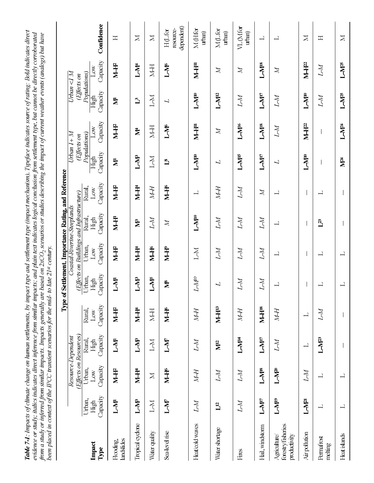Table 7-1: Impacts of climate change on human settlements, by impact type and settlement type (impact mechanism). Typeface indicates source of rating: Bold indicates direct<br>evidence or study; italics indicates direct infer from a study or inferred from similar impacts. Impacts generally are based on 2xCO<sub>2</sub> scenarios or studies describing the impact of current weather events (analogs) but have<br>been placed in context of the IPCC transient sce

|                                                   |                          |                                              |                          |                          |                          | Type of Settlement, Importance Rating, and Reference                     |                        |                 |                            |                   |                                |                             |                                            |
|---------------------------------------------------|--------------------------|----------------------------------------------|--------------------------|--------------------------|--------------------------|--------------------------------------------------------------------------|------------------------|-----------------|----------------------------|-------------------|--------------------------------|-----------------------------|--------------------------------------------|
|                                                   |                          | (Effects on Resources)<br>Resource-Dependent |                          |                          |                          | (Effects on Buildings and Infrastructure)<br>Coastal-Riverine-Steeplands |                        |                 | Urban $I+M$<br>(Effects on |                   | Urban $\lt l$ M<br>(Effects on |                             |                                            |
|                                                   | Urban,                   | Urban,                                       | Rural,                   | Rural,                   | Urban,                   | Urban,                                                                   | Rural,                 | Rural,          | Populations)               |                   | Populations)                   |                             |                                            |
| Impact<br>$\mathbf{Type}$                         | Capacity<br>High         | Capacity<br>$_{\rm Low}$                     | Capacity<br>$\rm High$   | Capacity<br>Low          | Capacity<br>High         | Capacity<br>Low                                                          | Capacity<br>$\rm High$ | Capacity<br>Low | Capacity<br>High           | Capacity<br>Low   | Capacity<br>High               | Capacity<br>Low             | Confidence                                 |
| landslides<br>Hooding,                            | <b>IV-1</b>              | <b>NHF</b>                                   | <b>NHT</b>               | <b>NHP</b>               | <b>IN-1</b>              | NHF                                                                      | <b>THM</b>             | <b>NHR</b>      | Σ                          | <b>NHP</b>        | Ż                              | <b>NHR</b>                  | Η                                          |
| Tropical cyclone                                  | <b>PHT1</b>              | <b>FHH</b>                                   | <b>AHI</b>               | <b>FHM</b>               | <b>PH-1</b>              | <b>FHH</b>                                                               | Ë                      | <b>FHM</b>      | <b>AHT</b>                 | Ž                 | $\mathbf{L}^3$                 | <b>ENLI</b>                 | $\geq$                                     |
| Water quality                                     | NLI                      | $\geq$                                       | KFT                      | HN                       | L-M <sup>5</sup>         | МHЮ                                                                      | NH                     | <b>NAH</b>      | $N-1$                      | HHN               | N <sub>LI</sub>                | HHN                         | $\geq$                                     |
| Sea-level rise                                    | <b>IV-I</b>              | ŇНM                                          | <b>TALI</b>              | <b>NHK</b>               | <b>S</b>                 | FHN                                                                      | $\boldsymbol{z}$       | <b>NHK</b>      | $\mathbf{L}^8$             | <b>NPT</b>        | L                              | <b>NFT</b>                  | dependent)<br>resource-<br>H <sub>16</sub> |
| Heatoold waves                                    | $M_1$                    | HW                                           | M <sub>I</sub>           | H-W                      | $L$ -M <sup>0</sup>      | KFI                                                                      | L-M <sup>10</sup>      |                 | I <sub>N-I</sub>           | <b>NHHI</b>       | DHN-1                          | <b>HHM</b>                  | MHfor<br>urban)                            |
| Water shortage                                    | $\mathbf{L}^2$           | $M_1$                                        | $M^{12}$                 | <b>NHH13</b>             | L                        | M                                                                        | $\mathbb{M}$           | HW              | L                          | $\mathbb{Z}$      | LMR                            | $\mathbb{Z}$                | $M($ Lfor<br>urban)                        |
| Fires                                             | $\mathbb{H}^1$           | $\mathbb{H}^1$                               | <b>ENLI</b>              | H-W                      | $\mathbb{H}^1$           | $\mathbb{H}$                                                             | M <sub>I</sub>         | $\mathbb{H}$    | L-M <sup>15</sup>          | L-M <sup>16</sup> | $\mathbb{H}$                   | $\mathcal{N}_{\mathcal{N}}$ | VL (Mfor<br>urban)                         |
| Hail, windstorm                                   | $L$ -VI <sup>r7</sup>    | <b>IVHJ</b>                                  | L <sub>HVI</sub>         | <b>NHH<sup>18</sup></b>  | $M_{-1}$                 | $\mathbb{M}$                                                             | $\mathbb{M}$           | $\overline{M}$  | L-M <sup>17</sup>          | LHVLI             | L-M <sup>17</sup>              | LHV <sup>IS</sup>           | 凵                                          |
| forestryfisheries<br>productivity<br>Agriculture/ | L-M <sup>19</sup>        | <b>ENFLI</b>                                 | $\mathcal{H}$            | H-W                      | 山                        | 山                                                                        | 山                      | Ë               | L                          | $\mathbb{H}_I$    | ÌЧ                             | $\boldsymbol{z}$            | $\overline{\phantom{0}}$                   |
| Air pollution                                     | L-N <sub>E1</sub>        | $\mathbb{H}^1$                               | $\overline{\phantom{0}}$ | $\overline{\phantom{0}}$ |                          |                                                                          |                        |                 | L-M <sup>10</sup>          | MH <sup>22</sup>  | <b>ENFLI</b>                   | <b>MHP2</b>                 | $\geq$                                     |
| Permafrost<br>melting                             | $\overline{\phantom{0}}$ | $\overline{\phantom{0}}$                     | L-N <sup>23</sup>        | $\chi_{-1}$              | 凵                        | 凵                                                                        | $L^3$                  | 凵               |                            |                   | $\mathbb{M}$                   | M <sub>1</sub>              | Η                                          |
| Heat islands                                      | ロ                        | ᅴ                                            |                          |                          | $\overline{\phantom{0}}$ | ー                                                                        |                        |                 | N <sup>24</sup>            | L-N <sup>p4</sup> | LHYPS                          | L-M <sup>25</sup>           | $\geq$                                     |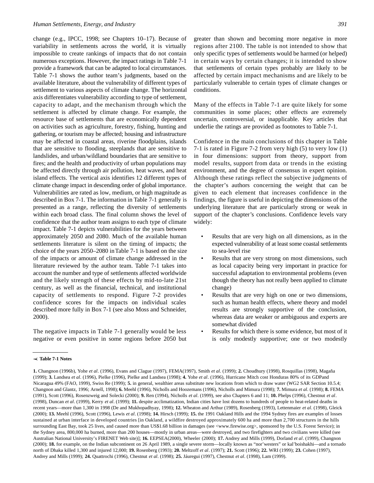change (e.g., IPCC, 1998; see Chapters 10–17). Because of variability in settlements across the world, it is virtually impossible to create rankings of impacts that do not contain numerous exceptions. However, the impact ratings in Table 7-1 provide a framework that can be adapted to local circumstances. Table 7-1 shows the author team's judgments, based on the available literature, about the vulnerability of different types of settlement to various aspects of climate change. The horizontal axis differentiates vulnerability according to type of settlement, capacity to adapt, and the mechanism through which the settlement is affected by climate change. For example, the resource base of settlements that are economically dependent on activities such as agriculture, forestry, fishing, hunting and gathering, or tourism may be affected; housing and infrastructure may be affected in coastal areas, riverine floodplains, islands that are sensitive to flooding, steeplands that are sensitive to landslides, and urban/wildland boundaries that are sensitive to fires; and the health and productivity of urban populations may be affected directly through air pollution, heat waves, and heat island effects. The vertical axis identifies 12 different types of climate change impact in descending order of global importance. Vulnerabilities are rated as low, medium, or high magnitude as described in Box 7-1. The information in Table 7-1 generally is presented as a range, reflecting the diversity of settlements within each broad class. The final column shows the level of confidence that the author team assigns to each type of climate impact. Table 7-1 depicts vulnerabilities for the years between approximately 2050 and 2080. Much of the available human settlements literature is silent on the timing of impacts; the choice of the years 2050–2080 in Table 7-1 is based on the size of the impacts or amount of climate change addressed in the literature reviewed by the author team. Table 7-1 takes into account the number and type of settlements affected worldwide and the likely strength of these effects by mid-to-late 21st century, as well as the financial, technical, and institutional capacity of settlements to respond. Figure 7-2 provides confidence scores for the impacts on individual scales described more fully in Box 7-1 (see also Moss and Schneider, 2000).

The negative impacts in Table 7-1 generally would be less negative or even positive in some regions before 2050 but

Many of the effects in Table 7-1 are quite likely for some communities in some places; other effects are extremely uncertain, controversial, or inapplicable. Key articles that underlie the ratings are provided as footnotes to Table 7-1.

Confidence in the main conclusions of this chapter in Table 7 -1 is rated in Figure 7-2 from very high (5) to very low (1) in four dimensions: support from theory, support from model results, support from data or trends in the existing environment, and the degree of consensus in expert opinion. Although these ratings reflect the subjective judgments of the chapter's authors concerning the weight that can be given to each element that increases confidence in the findings, the figure is useful in depicting the dimensions of the underlying literature that are particularly strong or weak in support of the chapter's conclusions. Confidence levels vary widely:

- Results that are very high on all dimensions, as in the expected vulnerability of at least some coastal settlements to sea-level rise
- Results that are very strong on most dimensions, such as local capacity being very important in practice for successful adaptation to environmental problems (even though the theory has not really been applied to climate change)
- Results that are very high on one or two dimensions, such as human health effects, where theory and model results are strongly supportive of the conclusion, whereas data are weaker or ambiguous and experts are somewhat divided
- Results for which there is some evidence, but most of it is only modestly supportive; one or two modestly

**Table 7-1 Notes**

**<sup>1.</sup>** Changnon (1996b), Yohe *et al*. (1996), Evans and Clague (1997), FEMA(1997), Smith *et al*. (1999); **2.** Choudhury (1998), Rosquillas (1998), Magaña (1999); **3.** Landsea *et al*. (1996), Pielke (1996), Pielke and Landsea (1998); **4.** Yohe *et al*. (1996), Hurricane Mitch cost Honduras 80% of its GDPand Nicaragua 49% (FAO, 1999), Swiss Re (1999); **5.** in general, wealthier areas substitute new locations from which to draw water (WG2 SAR Section 10.5.4; Changnon and Glantz, 1996; Arnell, 1998); **6 .** Meehl (1996), Nicholls and Hoozemans (1996), Nicholls and Mimura (1998); **7 .** Mimura *et al*. (1998); **8 .** FEMA (1991), Scott (1996), Rosenzweig and Solecki (2000); **9.** Ren (1994), Nicholls *et al*. (1999), see also Chapters 6 and 11; **10.** Phelps (1996), Chestnut *et al*. (1998), Duncan *et al*. (1999), Kerry *et al*. (1999); **11.** despite acclimatization, Indian cities have lost dozens to hundreds of people to heat-related deaths in recent years—more than 1,300 in 1998 (De and Mukhopadhyay, 1998); **12.** Wheaton and Arthur (1989), Rosenberg (1993), Lettenmaier *et al*. (1998), Gleick (2000); **13.** Meehl (1996), Scott (1996), Lewis *et al*. (1998); **14.** Hirsch (1999); **15.** the 1991 Oakland Hills and the 1994 Sydney fires are examples of losses sustained at urban interface in developed countries [in Oakland, a wildfire destroyed approximately 600 ha and more than 2,700 structures in the hills surrounding East Bay, took 25 lives, and caused more than US\$1.68 billion in damages (see <www.firewise.org>, sponsored by the U.S. Forest Service); in the Sydney area, 800,000 ha burned, more than 200 houses—mostly in urban areas—were destroyed, and two firefighters and two civilians were killed (see Australian National University's FIRENET Web site)]; **16.** EEPSEA(2000), Wheeler (2000); **17.** Andrey and Mills (1999), Dorland *et al*. (1999), Changnon (2000); **18.** for example, on the Indian subcontinent on 26 April 1989, a single severe storm—locally known as "nor'westers" or kal'boishakhi—and a tornado north of Dhaka killed 1,300 and injured 12,000; **19.** Rosenberg (1993); **20.** Meltzoff *et al*. (1997); **21.** Scott (1996); **22.** WRI (1999); **23.** Cohen (1997), Andrey and Mills (1999); **24.** Quattrochi (1996), Chestnut *et al*. (1998); **25.** Jáuregui (1997), Chestnut *et al*. (1998), Lam (1999).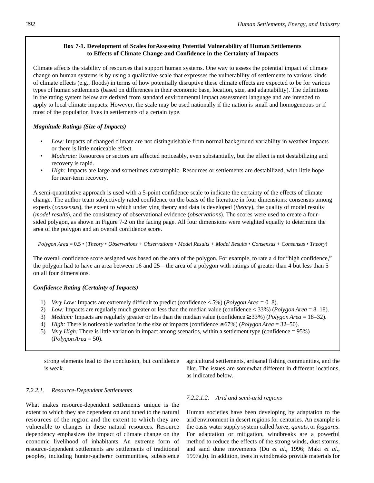#### **Box 7-1. Development of Scales forAssessing Potential Vulnerability of Human Settlements to Effects of Climate Change and Confidence in the Certainty of Impacts**

Climate affects the stability of resources that support human systems. One way to assess the potential impact of climate change on human systems is by using a qualitative scale that expresses the vulnerability of settlements to various kinds of climate effects (e.g., floods) in terms of how potentially disruptive these climate effects are expected to be for various types of human settlements (based on differences in their economic base, location, size, and adaptability). The definitions in the rating system below are derived from standard environmental impact assessment language and are intended to apply to local climate impacts. However, the scale may be used nationally if the nation is small and homogeneous or if most of the population lives in settlements of a certain type.

#### *Magnitude Ratings (Size of Impacts)*

- *Low:* Impacts of changed climate are not distinguishable from normal background variability in weather impacts or there is little noticeable effect.
- *Moderate:* Resources or sectors are affected noticeably, even substantially, but the effect is not destabilizing and recovery is rapid.
- *High:* Impacts are large and sometimes catastrophic. Resources or settlements are destabilized, with little hope for near-term recovery.

A semi-quantitative approach is used with a 5-point confidence scale to indicate the certainty of the effects of climate change. The author team subjectively rated confidence on the basis of the literature in four dimensions: consensus among experts (*consensus*), the extent to which underlying theory and data is developed (*theory*), the quality of model results (*model results*), and the consistency of observational evidence (*observations*). The scores were used to create a foursided polygon, as shown in Figure 7-2 on the facing page. All four dimensions were weighted equally to determine the area of the polygon and an overall confidence score.

#### *Polygon Area* = 0.5 • (*Theory* • *Observations* + *Observations* • *Model Results* + *Model Results* • *Consensus* + *Consensus* • *Theory*)

The overall confidence score assigned was based on the area of the polygon. For example, to rate a 4 for "high confidence," the polygon had to have an area between 16 and 25—the area of a polygon with ratings of greater than 4 but less than 5 on all four dimensions.

#### *Confidence Rating (Certainty of Impacts)*

- 1) *Very Low:* Impacts are extremely difficult to predict (confidence  $\langle 5\% \rangle$  (*Polygon Area* = 0–8).
- 2) *Low:* Impacts are regularly much greater or less than the median value (confidence < 33%) (*Polygon Area* = 8–18).
- 3) *Medium:* Impacts are regularly greater or less than the median value (confidence  $33\%$ ) (*Polygon Area* = 18–32).
- 4) *High*: There is noticeable variation in the size of impacts (confidence 67%) (*Polygon Area* = 32–50).
- 5) *Very High:* There is little variation in impact among scenarios, within a settlement type (confidence = 95%)  $(Polygon Area = 50)$ .

strong elements lead to the conclusion, but confidence is weak.

agricultural settlements, artisanal fishing communities, and the like. The issues are somewhat different in different locations, as indicated below.

#### *7.2.2.1. Resource-Dependent Settlements*

What makes resource-dependent settlements unique is the extent to which they are dependent on and tuned to the natural resources of the region and the extent to which they are vulnerable to changes in these natural resources. Resource dependency emphasizes the impact of climate change on the economic livelihood of inhabitants. An extreme form of resource-dependent settlements are settlements of traditional peoples, including hunter-gatherer communities, subsistence

#### *7.2.2.1.2. Arid and semi-arid regions*

Human societies have been developing by adaptation to the arid environment in desert regions for centuries. An example is the oasis water supply system called *karez*, *qanats*, or *foggaras*. For adaptation or mitigation, windbreaks are a powerful method to reduce the effects of the strong winds, dust storms, and sand dune movements (Du *et al*., 1996; Maki *et al*., 1997a,b). In addition, trees in windbreaks provide materials for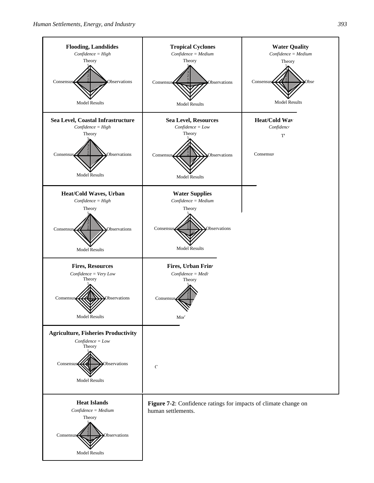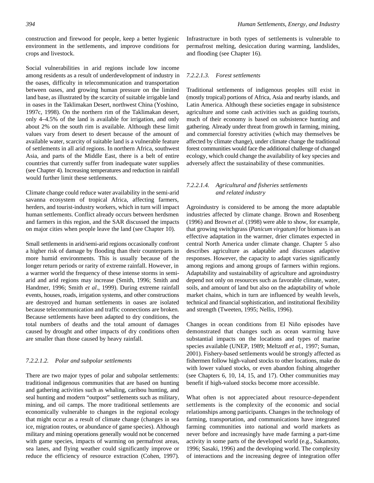construction and firewood for people, keep a better hygienic environment in the settlements, and improve conditions for crops and livestock.

Social vulnerabilities in arid regions include low income among residents as a result of underdevelopment of industry in the oases, difficulty in telecommunication and transportation between oases, and growing human pressure on the limited land base, as illustrated by the scarcity of suitable irrigable land in oases in the Taklimakan Desert, northwest China (Yoshino, 1997c, 1998). On the northern rim of the Taklimakan desert, only 4–4.5% of the land is available for irrigation, and only about 2% on the south rim is available. Although these limit values vary from desert to desert because of the amount of available water, scarcity of suitable land is a vulnerable feature of settlements in all arid regions. In northern Africa, southwest Asia, and parts of the Middle East, there is a belt of entire countries that currently suffer from inadequate water supplies (see Chapter 4). Increasing temperatures and reduction in rainfall would further limit these settlements.

Climate change could reduce water availability in the semi-arid savanna ecosystem of tropical Africa, affecting farmers, herders, and tourist-industry workers, which in turn will impact human settlements. Conflict already occurs between herdsmen and farmers in this region, and the SAR discussed the impacts on major cities when people leave the land (see Chapter 10).

Small settlements in arid/semi-arid regions occasionally confront a higher risk of damage by flooding than their counterparts in more humid environments. This is usually because of the longer return periods or rarity of extreme rainfall. However, in a warmer world the frequency of these intense storms in semiarid and arid regions may increase (Smith, 1996; Smith and Handmer, 1996; Smith *et al*., 1999). During extreme rainfall events, houses, roads, irrigation systems, and other constructions are destroyed and human settlements in oases are isolated because telecommunication and traffic connections are broken. Because settlements have been adapted to dry conditions, the total numbers of deaths and the total amount of damages caused by drought and other impacts of dry conditions often are smaller than those caused by heavy rainfall.

#### *7.2.2.1.2. Polar and subpolar settlements*

There are two major types of polar and subpolar settlements: traditional indigenous communities that are based on hunting and gathering activities such as whaling, caribou hunting, and seal hunting and modern "outpost" settlements such as military, mining, and oil camps. The more traditional settlements are economically vulnerable to changes in the regional ecology that might occur as a result of climate change (changes in sea ice, migration routes, or abundance of game species). Although military and mining operations generally would not be concerned with game species, impacts of warming on permafrost areas, sea lanes, and flying weather could significantly improve or reduce the efficiency of resource extraction (Cohen, 1997). Infrastructure in both types of settlements is vulnerable to permafrost melting, desiccation during warming, landslides, and flooding (see Chapter 16).

#### *7.2.2.1.3. Forest settlements*

Traditional settlements of indigenous peoples still exist in (mostly tropical) portions of Africa, Asia and nearby islands, and Latin America. Although these societies engage in subsistence agriculture and some cash activities such as guiding tourists, much of their economy is based on subsistence hunting and gathering. Already under threat from growth in farming, mining, and commercial forestry activities (which may themselves be a ffected by climate change), under climate change the traditional forest communities would face the additional challenge of changed ecology, which could change the availability of key species and adversely affect the sustainability of these communities.

#### *7.2.2.1.4. Agricultural and fisheries settlements and related industry*

Agroindustry is considered to be among the more adaptable industries affected by climate change. Brown and Rosenberg (1996) and Brown *et al*. (1998) were able to show, for example, that growing switchgrass (*Panicum virgatum)* for biomass is an effective adaptation in the warmer, drier climates expected in central North America under climate change. Chapter 5 also describes agriculture as adaptable and discusses adaptive responses. However, the capacity to adapt varies significantly among regions and among groups of farmers within regions. Adaptability and sustainability of agriculture and agroindustry depend not only on resources such as favorable climate, water, soils, and amount of land but also on the adaptability of whole market chains, which in turn are influenced by wealth levels, technical and financial sophistication, and institutional flexibility and strength (Tweeten, 1995; Nellis, 1996).

Changes in ocean conditions from El Niño episodes have demonstrated that changes such as ocean warming have substantial impacts on the locations and types of marine species available (UNEP, 1989; Meltzoff *et al.,* 1997; Suman, 2001). Fishery-based settlements would be strongly affected as fishermen follow high-valued stocks to other locations, make do with lower valued stocks, or even abandon fishing altogether (see Chapters 6, 10, 14, 15, and 17). Other communities may benefit if high-valued stocks become more accessible.

What often is not appreciated about resource-dependent settlements is the complexity of the economic and social relationships among participants. Changes in the technology of farming, transportation, and communications have integrated farming communities into national and world markets as never before and increasingly have made farming a part-time activity in some parts of the developed world (e.g., Sakamoto, 1996; Sasaki, 1996) and the developing world. The complexity of interactions and the increasing degree of integration offer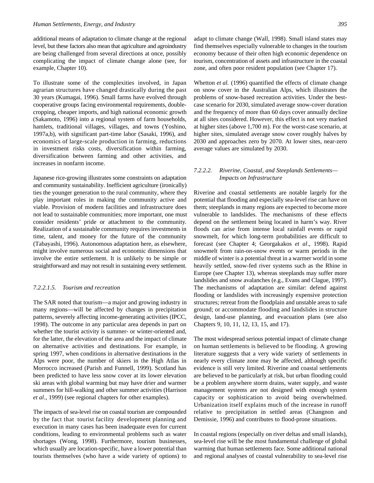additional means of adaptation to climate change at the regional level, but these factors also mean that agriculture and agroindustry are being challenged from several directions at once, possibly complicating the impact of climate change alone (see, for example, Chapter 10).

To illustrate some of the complexities involved, in Japan agrarian structures have changed drastically during the past 30 years (Kumagai, 1996). Small farms have evolved through cooperative groups facing environmental requirements, doublecropping, cheaper imports, and high national economic growth (Sakamoto, 1996) into a regional system of farm households, hamlets, traditional villages, villages, and towns (Yoshino, 1997a,b), with significant part-time labor (Sasaki, 1996), and economics of large-scale production in farming, reductions in investment risks costs, diversification within farming, diversification between farming and other activities, and increases in nonfarm income.

Japanese rice-growing illustrates some constraints on adaptation and community sustainability. Inefficient agriculture (ironically) ties the younger generation to the rural community, where they play important roles in making the community active and viable. Provision of modern facilities and infrastructure does not lead to sustainable communities; more important, one must consider residents' pride or attachment to the community. Realization of a sustainable community requires investments in time, talent, and money for the future of the community (Tabayashi, 1996). Autonomous adaptation here, as elsewhere, might involve numerous social and economic dimensions that involve the entire settlement. It is unlikely to be simple or straightforward and may not result in sustaining every settlement.

#### *7.2.2.1.5. Tourism and recreation*

The SAR noted that tourism—a major and growing industry in many regions—will be affected by changes in precipitation patterns, severely affecting income-generating activities (IPCC, 1998). The outcome in any particular area depends in part on whether the tourist activity is summer- or winter-oriented and, for the latter, the elevation of the area and the impact of climate on alternative activities and destinations. For example, in spring 1997, when conditions in alternative destinations in the Alps were poor, the number of skiers in the High Atlas in Morrocco increased (Parish and Funnell, 1999). Scotland has been predicted to have less snow cover at its lower elevation ski areas with global warming but may have drier and warmer summers for hill-walking and other summer activities (Harrison *et al*., 1999) (see regional chapters for other examples).

The impacts of sea-level rise on coastal tourism are compounded by the fact that tourist facility development planning and execution in many cases has been inadequate even for current conditions, leading to environmental problems such as water shortages (Wong, 1998). Furthermore, tourism businesses, which usually are location-specific, have a lower potential than tourists themselves (who have a wide variety of options) to

Whetton *et al.* (1996) quantified the effects of climate change on snow cover in the Australian Alps, which illustrates the problems of snow-based recreation activities. Under the bestcase scenario for 2030, simulated average snow-cover duration and the frequency of more than 60 days cover annually decline at all sites considered. However, this effect is not very marked at higher sites (above 1,700 m). For the worst-case scenario, at higher sites, simulated average snow cover roughly halves by 2030 and approaches zero by 2070. At lower sites, near-zero average values are simulated by 2030.

#### *7.2.2.2. Riverine, Coastal, and Steeplands Settlements— Impacts on Infrastructure*

Riverine and coastal settlements are notable largely for the potential that flooding and especially sea-level rise can have on them; steeplands in many regions are expected to become more vulnerable to landslides. The mechanisms of these effects depend on the settlement being located in harm's way. River floods can arise from intense local rainfall events or rapid snowmelt, for which long-term probabilities are difficult to forecast (see Chapter 4; Georgakakos *et al*., 1998). Rapid snowmelt from rain-on-snow events or warm periods in the middle of winter is a potential threat in a warmer world in some heavily settled, snow-fed river systems such as the Rhine in Europe (see Chapter 13), whereas steeplands may suffer more landslides and snow avalanches (e.g., Evans and Clague, 1997). The mechanisms of adaptation are similar: defend against flooding or landslides with increasingly expensive protection structures; retreat from the floodplain and unstable areas to safe ground; or accommodate flooding and landslides in structure design, land-use planning, and evacuation plans (see also Chapters 9, 10, 11, 12, 13, 15, and 17).

The most widespread serious potential impact of climate change on human settlements is believed to be flooding. A growing literature suggests that a very wide variety of settlements in nearly every climate zone may be affected, although specific evidence is still very limited. Riverine and coastal settlements are believed to be particularly at risk, but urban flooding could be a problem anywhere storm drains, water supply, and waste management systems are not designed with enough system capacity or sophistication to avoid being overwhelmed. Urbanization itself explains much of the increase in runoff relative to precipitation in settled areas (Changnon and Demissie, 1996) and contributes to flood-prone situations.

In coastal regions (especially on river deltas and small islands), sea-level rise will be the most fundamental challenge of global warming that human settlements face. Some additional national and regional analyses of coastal vulnerability to sea-level rise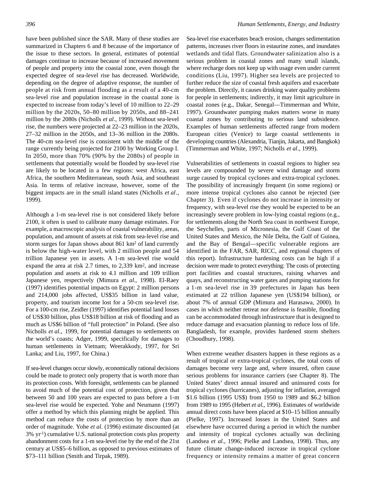have been published since the SAR. Many of these studies are summarized in Chapters 6 and 8 because of the importance of the issue to these sectors. In general, estimates of potential damages continue to increase because of increased movement of people and property into the coastal zone, even though the expected degree of sea-level rise has decreased. Worldwide, depending on the degree of adaptive response, the number of people at risk from annual flooding as a result of a 40-cm sea-level rise and population increase in the coastal zone is expected to increase from today's level of 10 million to 22–29 million by the 2020s, 50–80 million by 2050s, and 88–241 million by the 2080s (Nicholls *et al.*, 1999). Without sea-level rise, the numbers were projected at 22–23 million in the 2020s, 27–32 million in the 2050s, and 13–36 million in the 2080s. The 40-cm sea-level rise is consistent with the middle of the range currently being projected for 2100 by Working Group I. In 2050, more than 70% (90% by the 2080s) of people in settlements that potentially would be flooded by sea-level rise are likely to be located in a few regions: west Africa, east Africa, the southern Mediterranean, south Asia, and southeast Asia. In terms of relative increase, however, some of the biggest impacts are in the small island states (Nicholls *et al*., 1999).

Although a 1-m sea-level rise is not considered likely before 2100, it often is used to calibrate many damage estimates. For example, a macroscopic analysis of coastal vulnerability, areas, population, and amount of assets at risk from sea-level rise and storm surges for Japan shows about 861 km<sup>2</sup> of land currently is below the high-water level, with 2 million people and 54 trillion Japanese yen in assets. A 1-m sea-level rise would expand the area at risk 2.7 times, to 2,339 km2, and increase population and assets at risk to 4.1 million and 109 trillion Japanese yen, respectively (Mimura *et al*., 1998). El-Raey (1997) identifies potential impacts on Egypt: 2 million persons and 214,000 jobs affected, US\$35 billion in land value, property, and tourism income lost for a 50-cm sea-level rise. For a 100-cm rise, Zeidler (1997) identifies potential land losses of US\$30 billion, plus US\$18 billion at risk of flooding and as much as US\$6 billion of "full protection" in Poland. (See also Nicholls *et al.,* 1999, for potential damages to settlements on the world's coasts; Adger, 1999, specifically for damages to human settlements in Vietnam; Weerakkody, 1997, for Sri Lanka; and Liu, 1997, for China.)

If sea-level changes occur slowly, economically rational decisions could be made to protect only property that is worth more than its protection costs. With foresight, settlements can be planned to avoid much of the potential cost of protection, given that between 50 and 100 years are expected to pass before a 1-m sea-level rise would be expected. Yohe and Neumann (1997) offer a method by which this planning might be applied. This method can reduce the costs of protection by more than an order of magnitude. Yohe *et al*. (1996) estimate discounted (at 3% yr-1) cumulative U.S. national protection costs plus property abandonment costs for a 1-m sea-level rise by the end of the 21st century at US\$5–6 billion, as opposed to previous estimates of \$73–111 billion (Smith and Tirpak, 1989).

Sea-level rise exacerbates beach erosion, changes sedimentation patterns, increases river floors in estaurine zones, and inundates wetlands and tidal flats. Groundwater salinization also is a serious problem in coastal zones and many small islands, where recharge does not keep up with usage even under current conditions (Liu, 1997). Higher sea levels are projected to further reduce the size of coastal fresh aquifers and exacerbate the problem. Directly, it causes drinking water quality problems for people in settlements; indirectly, it may limit agriculture in coastal zones (e.g., Dakar, Senegal—Timmerman and White, 1997). Groundwater pumping makes matters worse in many coastal zones by contributing to serious land subsidence. Examples of human settlements affected range from modern European cities (Venice) to large coastal settlements in developing countries (Alexandria, Tianjin, Jakarta, and Bangkok) (Timmerman and White, 1997; Nicholls *et al*., 1999).

Vulnerabilities of settlements in coastal regions to higher sea levels are compounded by severe wind damage and storm surge caused by tropical cyclones and extra-tropical cyclones. The possibility of increasingly frequent (in some regions) or more intense tropical cyclones also cannot be rejected (see Chapter 3). Even if cyclones do not increase in intensity or frequency, with sea-level rise they would be expected to be an increasingly severe problem in low-lying coastal regions (e.g., for settlements along the North Sea coast in northwest Europe, the Seychelles, parts of Micronesia, the Gulf Coast of the United States and Mexico, the Nile Delta, the Gulf of Guinea, and the Bay of Bengal—specific vulnerable regions are identified in the FAR, SAR, RICC, and regional chapters of this report). Infrastructure hardening costs can be high if a decision were made to protect everything: The costs of protecting port facilities and coastal structures, raising wharves and quays, and reconstructing water gates and pumping stations for a 1-m sea-level rise in 39 prefectures in Japan has been estimated at 22 trillion Japanese yen (US\$194 billion), or about 7% of annual GDP (Mimura and Harasawa, 2000). In cases in which neither retreat nor defense is feasible, flooding can be accommodated through infrastructure that is designed to reduce damage and evacuation planning to reduce loss of life. Bangladesh, for example, provides hardened storm shelters (Choudhury, 1998).

When extreme weather disasters happen in these regions as a result of tropical or extra-tropical cyclones, the total costs of damages become very large and, where insured, often cause serious problems for insurance carriers (see Chapter 8). The United States' direct annual insured and uninsured costs for tropical cyclones (hurricanes), adjusting for inflation, averaged \$1.6 billion (1995 US\$) from 1950 to 1989 and \$6.2 billion from 1989 to 1995 (Hebert *et al*., 1996). Estimates of worldwide annual direct costs have been placed at \$10–15 billion annually (Pielke, 1997). Increased losses in the United States and elsewhere have occurred during a period in which the number and intensity of tropical cyclones actually was declining (Landsea *et al*., 1996; Pielke and Landsea, 1998). Thus, any future climate change-induced increase in tropical cyclone frequency or intensity remains a matter of great concern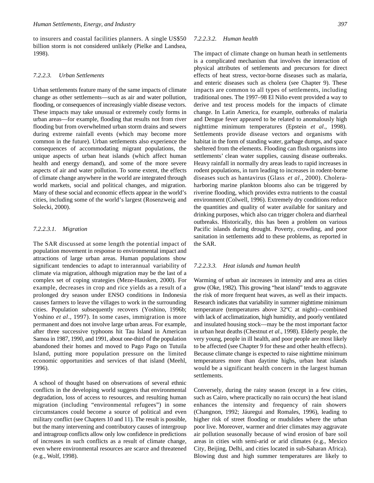to insurers and coastal facilities planners. A single US\$50 billion storm is not considered unlikely (Pielke and Landsea, 1998).

#### *7.2.2.3. Urban Settlements*

Urban settlements feature many of the same impacts of climate change as other settlements—such as air and water pollution, flooding, or consequences of increasingly viable disease vectors. These impacts may take unusual or extremely costly forms in urban areas—for example, flooding that results not from river flooding but from overwhelmed urban storm drains and sewers during extreme rainfall events (which may become more common in the future). Urban settlements also experience the consequences of accommodating migrant populations, the unique aspects of urban heat islands (which affect human health and energy demand), and some of the more severe aspects of air and water pollution. To some extent, the effects of climate change anywhere in the world are integrated through world markets, social and political changes, and migration. Many of these social and economic effects appear in the world's cities, including some of the world's largest (Rosenzweig and Solecki, 2000).

#### *7.2.2.3.1. Migration*

The SAR discussed at some length the potential impact of population movement in response to environmental impact and attractions of large urban areas. Human populations show significant tendencies to adapt to interannual variability of climate via migration, although migration may be the last of a complex set of coping strategies (Meze-Hausken, 2000). For example, decreases in crop and rice yields as a result of a prolonged dry season under ENSO conditions in Indonesia causes farmers to leave the villages to work in the surrounding cities. Population subsequently recovers (Yoshino, 1996b; Yoshino *et al*., 1997). In some cases, immigration is more permanent and does not involve large urban areas. For example, after three successive typhoons hit Tau Island in American Samoa in 1987, 1990, and 1991, about one-third of the population abandoned their homes and moved to Pago Pago on Tutuila Island, putting more population pressure on the limited economic opportunities and services of that island (Meehl, 1996).

A school of thought based on observations of several ethnic conflicts in the developing world suggests that environmental degradation, loss of access to resources, and resulting human migration (including "environmental refugees") in some circumstances could become a source of political and even military conflict (see Chapters 10 and 11). The result is possible, but the many intervening and contributory causes of intergroup and intragroup conflicts allow only low confidence in predictions of increases in such conflicts as a result of climate change, even where environmental resources are scarce and threatened (e.g., Wolf, 1998).

#### *7.2.2.3.2. Human health*

The impact of climate change on human heath in settlements is a complicated mechanism that involves the interaction of physical attributes of settlements and precursors for direct effects of heat stress, vector-borne diseases such as malaria, and enteric diseases such as cholera (see Chapter 9). These impacts are common to all types of settlements, including traditional ones. The 1997–98 El Niño event provided a way to derive and test process models for the impacts of climate change. In Latin America, for example, outbreaks of malaria and Dengue fever appeared to be related to anomalously high nighttime minimum temperatures (Epstein *et al*., 1998). Settlements provide disease vectors and organisms with habitat in the form of standing water, garbage dumps, and space sheltered from the elements. Flooding can flush organisms into settlements' clean water supplies, causing disease outbreaks. Heavy rainfall in normally dry areas leads to rapid increases in rodent populations, in turn leading to increases in rodent-borne diseases such as hantavirus (Glass *et al*., 2000). Choleraharboring marine plankton blooms also can be triggered by riverine flooding, which provides extra nutrients to the coastal environment (Colwell, 1996). Extremely dry conditions reduce the quantities and quality of water available for sanitary and drinking purposes, which also can trigger cholera and diarrheal outbreaks. Historically, this has been a problem on various Pacific islands during drought. Poverty, crowding, and poor sanitation in settlements add to these problems, as reported in the SAR.

#### *7.2.2.3.3. Heat islands and human health*

Warming of urban air increases in intensity and area as cities grow (Oke, 1982). This growing "heat island" tends to aggravate the risk of more frequent heat waves, as well as their impacts. Research indicates that variability in summer nighttime minimum temperature (temperatures above 32ºC at night)—combined with lack of acclimatization, high humidity, and poorly ventilated and insulated housing stock—may be the most important factor in urban heat deaths (Chestnut *et al.,* 1998). Elderly people, the very young, people in ill health, and poor people are most likely to be affected (see Chapter 9 for these and other health effects). Because climate change is expected to raise nighttime minimum temperatures more than daytime highs, urban heat islands would be a significant health concern in the largest human settlements.

Conversely, during the rainy season (except in a few cities, such as Cairo, where practically no rain occurs) the heat island enhances the intensity and frequency of rain showers (Changnon, 1992; Jáuregui and Romales, 1996), leading to higher risk of street flooding or mudslides where the urban poor live. Moreover, warmer and drier climates may aggravate air pollution seasonally because of wind erosion of bare soil areas in cities with semi-arid or arid climates (e.g., Mexico City, Beijing, Delhi, and cities located in sub-Saharan Africa). Blowing dust and high summer temperatures are likely to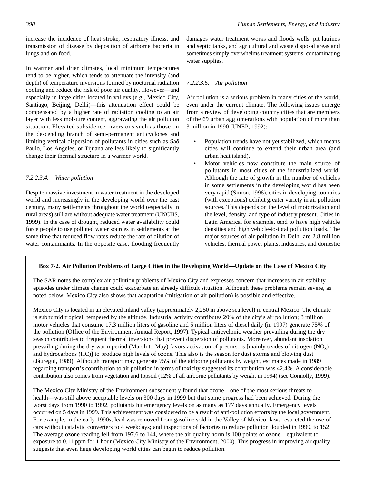increase the incidence of heat stroke, respiratory illness, and transmission of disease by deposition of airborne bacteria in lungs and on food.

In warmer and drier climates, local minimum temperatures tend to be higher, which tends to attenuate the intensity (and depth) of temperature inversions formed by nocturnal radiation cooling and reduce the risk of poor air quality. However—and especially in large cities located in valleys (e.g., Mexico City, Santiago, Beijing, Delhi)—this attenuation effect could be compensated by a higher rate of radiation cooling to an air layer with less moisture content, aggravating the air pollution situation. Elevated subsidence inversions such as those on the descending branch of semi-permanent anticyclones and limiting vertical dispersion of pollutants in cities such as Saõ Paulo, Los Angeles, or Tijuana are less likely to significantly change their thermal structure in a warmer world.

#### *7.2.2.3.4. Water pollution*

Despite massive investment in water treatment in the developed world and increasingly in the developing world over the past century, many settlements throughout the world (especially in rural areas) still are without adequate water treatment (UNCHS, 1999). In the case of drought, reduced water availability could force people to use polluted water sources in settlements at the same time that reduced flow rates reduce the rate of dilution of water contaminants. In the opposite case, flooding frequently damages water treatment works and floods wells, pit latrines and septic tanks, and agricultural and waste disposal areas and sometimes simply overwhelms treatment systems, contaminating water supplies.

#### *7.2.2.3.5. Air pollution*

Air pollution is a serious problem in many cities of the world, even under the current climate. The following issues emerge from a review of developing country cities that are members of the 69 urban agglomerations with population of more than 3 million in 1990 (UNEP, 1992):

- Population trends have not yet stabilized, which means cities will continue to extend their urban area (and urban heat island).
- Motor vehicles now constitute the main source of pollutants in most cities of the industrialized world. Although the rate of growth in the number of vehicles in some settlements in the developing world has been very rapid (Simon, 1996), cities in developing countries (with exceptions) exhibit greater variety in air pollution sources. This depends on the level of motorization and the level, density, and type of industry present. Cities in Latin America, for example, tend to have high vehicle densities and high vehicle-to-total pollution loads. The major sources of air pollution in Delhi are 2.8 million vehicles, thermal power plants, industries, and domestic

#### **Box 7-2**. **Air Pollution Problems of Large Cities in the Developing World—Update on the Case of Mexico City**

The SAR notes the complex air pollution problems of Mexico City and expresses concern that increases in air stability episodes under climate change could exacerbate an already difficult situation. Although these problems remain severe, as noted below, Mexico City also shows that adaptation (mitigation of air pollution) is possible and effective.

Mexico City is located in an elevated inland valley (approximately 2,250 m above sea level) in central Mexico. The climate is subhumid tropical, tempered by the altitude. Industrial activity contributes 20% of the city's air pollution; 3 million motor vehicles that consume 17.3 million liters of gasoline and 5 million liters of diesel daily (in 1997) generate 75% of the pollution (Office of the Environment Annual Report, 1997). Typical anticyclonic weather prevailing during the dry season contributes to frequent thermal inversions that prevent dispersion of pollutants. Moreover, abundant insolation prevailing during the dry warm period (March to May) favors activation of precursors [mainly oxides of nitrogen  $(NO_x)$ and hydrocarbons (HC)] to produce high levels of ozone. This also is the season for dust storms and blowing dust (Jáuregui, 1989). Although transport may generate 75% of the airborne pollutants by weight, estimates made in 1989 regarding transport's contribution to air pollution in terms of toxicity suggested its contribution was 42.4%. A considerable contribution also comes from vegetation and topsoil (12% of all airborne pollutants by weight in 1994) (see Connolly, 1999).

The Mexico City Ministry of the Environment subsequently found that ozone—one of the most serious threats to health—was still above acceptable levels on 300 days in 1999 but that some progress had been achieved. During the worst days from 1990 to 1992, pollutants hit emergency levels on as many as 177 days annually. Emergency levels occurred on 5 days in 1999. This achievement was considered to be a result of anti-pollution efforts by the local government. For example, in the early 1990s, lead was removed from gasoline sold in the Valley of Mexico; laws restricted the use of cars without catalytic converters to 4 weekdays; and inspections of factories to reduce pollution doubled in 1999, to 152. The average ozone reading fell from 197.6 to 144, where the air quality norm is 100 points of ozone—equivalent to exposure to 0.11 ppm for 1 hour (Mexico City Ministry of the Environment, 2000). This progress in improving air quality suggests that even huge developing world cities can begin to reduce pollution.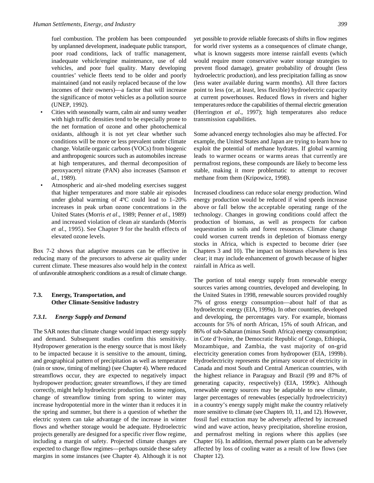fuel combustion. The problem has been compounded by unplanned development, inadequate public transport, poor road conditions, lack of traffic management, inadequate vehicle/engine maintenance, use of old vehicles, and poor fuel quality. Many developing countries' vehicle fleets tend to be older and poorly maintained (and not easily replaced because of the low incomes of their owners)—a factor that will increase the significance of motor vehicles as a pollution source (UNEP, 1992).

- Cities with seasonally warm, calm air and sunny weather with high traffic densities tend to be especially prone to the net formation of ozone and other photochemical oxidants, although it is not yet clear whether such conditions will be more or less prevalent under climate change. Volatile organic carbons (VOCs) from biogenic and anthropogenic sources such as automobiles increase at high temperatures, and thermal decomposition of peroxyacetyl nitrate (PAN) also increases (Samson *et al*., 1989).
- Atmospheric and air-shed modeling exercises suggest that higher temperatures and more stable air episodes under global warming of 4ºC could lead to 1–20% increases in peak urban ozone concentrations in the United States (Morris *et al*., 1989; Penner *et al*., 1989) and increased violation of clean air standards (Morris *et al.*, 1995). See Chapter 9 for the health effects of elevated ozone levels.

Box 7-2 shows that adaptive measures can be effective in reducing many of the precursors to adverse air quality under current climate. These measures also would help in the context of unfavorable atmospheric conditions as a result of climate change.

#### **7.3. Energy, Transportation, and Other Climate-Sensitive Industry**

#### *7.3.1. Energy Supply and Demand*

The SAR notes that climate change would impact energy supply and demand. Subsequent studies confirm this sensitivity. Hydropower generation is the energy source that is most likely to be impacted because it is sensitive to the amount, timing, and geographical pattern of precipitation as well as temperature (rain or snow, timing of melting) (see Chapter 4). Where reduced streamflows occur, they are expected to negatively impact hydropower production; greater streamflows, if they are timed correctly, might help hydroelectric production. In some regions, change of streamflow timing from spring to winter may increase hydropotential more in the winter than it reduces it in the spring and summer, but there is a question of whether the electric system can take advantage of the increase in winter flows and whether storage would be adequate. Hydroelectric projects generally are designed for a specific river flow regime, including a margin of safety. Projected climate changes are expected to change flow regimes—perhaps outside these safety margins in some instances (see Chapter 4). Although it is not yet possible to provide reliable forecasts of shifts in flow regimes for world river systems as a consequences of climate change, what is known suggests more intense rainfall events (which would require more conservative water storage strategies to prevent flood damage), greater probability of drought (less hydroelectric production), and less precipitation falling as snow (less water available during warm months). All three factors point to less (or, at least, less flexible) hydroelectric capacity at current powerhouses. Reduced flows in rivers and higher temperatures reduce the capabilities of thermal electric generation (Herrington *et al*., 1997); high temperatures also reduce transmission capabilities.

Some advanced energy technologies also may be affected. For example, the United States and Japan are trying to learn how to exploit the potential of methane hydrates. If global warming leads to warmer oceans or warms areas that currently are permafrost regions, these compounds are likely to become less stable, making it more problematic to attempt to recover methane from them (Kripowicz, 1998).

Increased cloudiness can reduce solar energy production. Wind energy production would be reduced if wind speeds increase above or fall below the acceptable operating range of the technology. Changes in growing conditions could affect the production of biomass, as well as prospects for carbon sequestration in soils and forest resources. Climate change could worsen current trends in depletion of biomass energy stocks in Africa, which is expected to become drier (see Chapters 3 and 10). The impact on biomass elsewhere is less clear; it may include enhancement of growth because of higher rainfall in Africa as well.

The portion of total energy supply from renewable energy sources varies among countries, developed and developing. In the United States in 1998, renewable sources provided roughly 7% of gross energy consumption—about half of that as hydroelectric energy (EIA, 1999a). In other countries, developed and developing, the percentages vary. For example, biomass accounts for 5% of north African, 15% of south African, and 86% of sub-Saharan (minus South Africa) energy consumption; in Cote d'Ivoire, the Democratic Republic of Congo, Ethiopia, Mozambique, and Zambia, the vast majority of on-grid e lectricity generation comes from hydropower (EIA, 1999b). Hydroelectricity represents the primary source of electricity in Canada and most South and Central American countries, with the highest reliance in Paraguay and Brazil (99 and 87% of generating capacity, respectively) (EIA, 1999c). Although renewable energy sources may be adaptable to new climate, larger percentages of renewables (especially hydroelectricity) in a country's energy supply might make the country relatively more sensitive to climate (see Chapters 10, 11, and 12). However, fossil fuel extraction may be adversely affected by increased wind and wave action, heavy precipitation, shoreline erosion, and permafrost melting in regions where this applies (see Chapter 16). In addition, thermal power plants can be adversely affected by loss of cooling water as a result of low flows (see Chapter 12).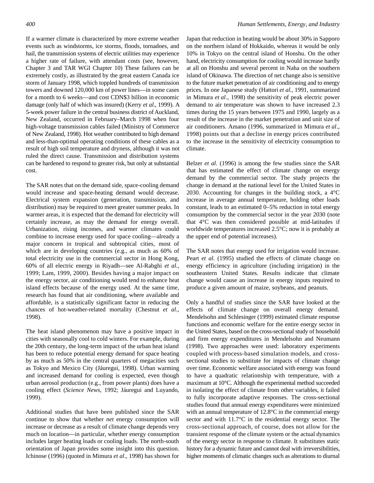If a warmer climate is characterized by more extreme weather events such as windstorms, ice storms, floods, tornadoes, and hail, the transmission systems of electric utilities may experience a higher rate of failure, with attendant costs (see, however, Chapter 3 and TAR WGI Chapter 10) These failures can be extremely costly, as illustrated by the great eastern Canada ice storm of January 1998, which toppled hundreds of transmission towers and downed 120,000 km of power lines—in some cases for a month to 6 weeks—and cost CDN\$3 billion in economic damage (only half of which was insured) (Kerry *et al*., 1999). A 5-week power failure in the central business district of Auckland, New Zealand, occurred in February–March 1998 when four high-voltage transmission cables failed (Ministry of Commerce of New Zealand, 1998). Hot weather contributed to high demand and less-than-optimal operating conditions of these cables as a result of high soil temperature and dryness, although it was not ruled the direct cause. Transmission and distribution systems can be hardened to respond to greater risk, but only at substantial cost.

The SAR notes that on the demand side, space-cooling demand would increase and space-heating demand would decrease. Electrical system expansion (generation, transmission, and distribution) may be required to meet greater summer peaks. In warmer areas, it is expected that the demand for electricity will certainly increase, as may the demand for energy overall. Urbanization, rising incomes, and warmer climates could combine to increase energy used for space cooling—already a major concern in tropical and subtropical cities, most of which are in developing countries (e.g., as much as 60% of total electricity use in the commercial sector in Hong Kong, 60% of all electric energy in Riyadh—see Al-Rabghi *et al*., 1999; Lam, 1999, 2000). Besides having a major impact on the energy sector, air conditioning would tend to enhance heat island effects because of the energy used. At the same time, research has found that air conditioning, where available and affordable, is a statistically significant factor in reducing the chances of hot-weather-related mortality (Chestnut *et al*., 1998).

The heat island phenomenon may have a positive impact in cities with seasonally cool to cold winters. For example, during the 20th century, the long-term impact of the urban heat island has been to reduce potential energy demand for space heating by as much as 50% in the central quarters of megacities such as Tokyo and Mexico City (Jáuregui, 1998). Urban warming and increased demand for cooling is expected, even though urban aerosol production (e.g., from power plants) does have a cooling effect (*Science News*, 1992; Jáuregui and Luyando, 1999).

Additional studies that have been published since the SAR continue to show that whether *net* energy consumption will increase or decrease as a result of climate change depends very much on location—in particular, whether energy consumption includes larger heating loads or cooling loads. The north-south orientation of Japan provides some insight into this question. Ichinose (1996) (quoted in Mimura *et al*., 1998) has shown for Japan that reduction in heating would be about 30% in Sapporo on the northern island of Hokkaido, whereas it would be only 10% in Tokyo on the central island of Honshu. On the other hand, electricity consumption for cooling would increase hardly at all on Honshu and several percent in Naha on the southern island of Okinawa. The direction of net change also is sensitive to the future market penetration of air conditioning and to energy prices. In one Japanese study (Hattori *et al*., 1991, summarized in Mimura *et al*., 1998) the sensitivity of peak electric power demand to air temperature was shown to have increased 2.3 times during the 15 years between 1975 and 1990, largely as a result of the increase in the market penetration and unit size of air conditioners. Amano (1996, summarized in Mimura *et al*., 1998) points out that a decline in energy prices contributed to the increase in the sensitivity of electricity consumption to climate.

Belzer *et al.* (1996) is among the few studies since the SAR that has estimated the effect of climate change on energy demand by the commercial sector. The study projects the change in demand at the national level for the United States in 2030. Accounting for changes in the building stock, a 4°C increase in average annual temperature, holding other loads constant, leads to an estimated 0–5% reduction in total energy consumption by the commercial sector in the year 2030 (note that 4°C was then considered possible at mid-latitudes if worldwide temperatures increased 2.5°C; now it is probably at the upper end of potential increases).

The SAR notes that energy used for irrigation would increase. Peart *et al.* (1995) studied the effects of climate change on energy efficiency in agriculture (including irrigation) in the southeastern United States. Results indicate that climate change would cause an increase in energy inputs required to produce a given amount of maize, soybeans, and peanuts.

Only a handful of studies since the SAR have looked at the e ffects of climate change on overall energy demand. Mendelsohn and Schlesinger (1999) estimated climate response functions and economic welfare for the entire energy sector in the United States, based on the cross-sectional study of household and firm energy expenditures in Mendelsohn and Neumann (1998). Two approaches were used: laboratory experiments coupled with process-based simulation models, and crosssectional studies to substitute for impacts of climate change over time. Economic welfare associated with energy was found to have a quadratic relationship with temperature, with a maximum at  $10^{\circ}$ C. Although the experimental method succeeded in isolating the effect of climate from other variables, it failed to fully incorporate adaptive responses. The cross-sectional studies found that annual energy expenditures were minimized with an annual temperature of 12.8°C in the commercial energy sector and with 11.7°C in the residential energy sector. The cross-sectional approach, of course, does not allow for the transient response of the climate system or the actual dynamics of the energy sector in response to climate. It substitutes static history for a dynamic future and cannot deal with irreversibilities, higher moments of climatic changes such as alterations to diurnal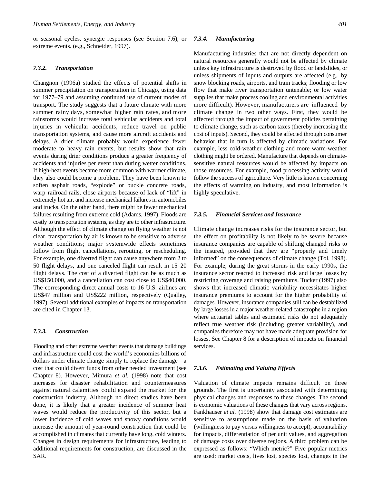or seasonal cycles, synergic responses (see Section 7.6), or extreme events. (e.g., Schneider, 1997).

#### *7.3.2. Transportation*

Changnon (1996a) studied the effects of potential shifts in summer precipitation on transportation in Chicago, using data for 1977–79 and assuming continued use of current modes of transport. The study suggests that a future climate with more summer rainy days, somewhat higher rain rates, and more rainstorms would increase total vehicular accidents and total injuries in vehicular accidents, reduce travel on public transportation systems, and cause more aircraft accidents and delays. A drier climate probably would experience fewer moderate to heavy rain events, but results show that rain events during drier conditions produce a greater frequency of accidents and injuries per event than during wetter conditions. If high-heat events became more common with warmer climate, they also could become a problem. They have been known to soften asphalt roads, "explode" or buckle concrete roads, warp railroad rails, close airports because of lack of "lift" in extremely hot air, and increase mechanical failures in automobiles and trucks. On the other hand, there might be fewer mechanical failures resulting from extreme cold (Adams, 1997). Floods are costly to transportation systems, as they are to other infrastructure. Although the effect of climate change on flying weather is not clear, transportation by air is known to be sensitive to adverse weather conditions; major systemwide effects sometimes follow from flight cancellations, rerouting, or rescheduling. For example, one diverted flight can cause anywhere from 2 to 50 flight delays, and one canceled flight can result in 15–20 flight delays. The cost of a diverted flight can be as much as US\$150,000, and a cancellation can cost close to US\$40,000. The corresponding direct annual costs to 16 U.S. airlines are US\$47 million and US\$222 million, respectively (Qualley, 1997). Several additional examples of impacts on transportation are cited in Chapter 13.

#### *7.3.3. Construction*

Flooding and other extreme weather events that damage buildings and infrastructure could cost the world's economies billions of dollars under climate change simply to replace the damage—a cost that could divert funds from other needed investment (see Chapter 8). However*,* Mimura *et al.* (1998) note that cost increases for disaster rehabilitation and countermeasures against natural calamities could expand the market for the construction industry. Although no direct studies have been done, it is likely that a greater incidence of summer heat waves would reduce the productivity of this sector, but a lower incidence of cold waves and snowy conditions would increase the amount of year-round construction that could be accomplished in climates that currently have long, cold winters. Changes in design requirements for infrastructure, leading to additional requirements for construction, are discussed in the SAR.

#### *7.3.4. Manufacturing*

Manufacturing industries that are not directly dependent on natural resources generally would not be affected by climate unless key infrastructure is destroyed by flood or landslides, or unless shipments of inputs and outputs are affected (e.g., by snow blocking roads, airports, and train tracks; flooding or low flow that make river transportation untenable; or low water supplies that make process cooling and environmental activities more difficult). However, manufacturers are influenced by climate change in two other ways. First, they would be affected through the impact of government policies pertaining to climate change, such as carbon taxes (thereby increasing the cost of inputs). Second, they could be affected through consumer behavior that in turn is affected by climatic variations. For example, less cold-weather clothing and more warm-weather clothing might be ordered. Manufacture that depends on climatesensitive natural resources would be affected by impacts on those resources. For example, food processing activity would follow the success of agriculture. Very little is known concerning the effects of warming on industry, and most information is highly speculative.

#### *7.3.5. Financial Services and Insurance*

Climate change increases risks for the insurance sector, but the effect on profitability is not likely to be severe because insurance companies are capable of shifting changed risks to the insured, provided that they are "properly and timely informed" on the consequences of climate change (Tol, 1998). For example, during the great storms in the early 1990s, the insurance sector reacted to increased risk and large losses by restricting coverage and raising premiums. Tucker (1997) also shows that increased climatic variability necessitates higher insurance premiums to account for the higher probability of damages. However, insurance companies still can be destabilized by large losses in a major weather-related catastrophe in a region where actuarial tables and estimated risks do not adequately reflect true weather risk (including greater variability), and companies therefore may not have made adequate provision for losses. See Chapter 8 for a description of impacts on financial services.

#### *7.3.6. Estimating and Valuing Effects*

Valuation of climate impacts remains difficult on three grounds. The first is uncertainty associated with determining physical changes and responses to these changes. The second is economic valuations of these changes that vary across regions. Fankhauser *et al.* (1998) show that damage cost estimates are sensitive to assumptions made on the basis of valuation (willingness to pay versus willingness to accept), accountability for impacts, differentiation of per unit values, and aggregation of damage costs over diverse regions. A third problem can be expressed as follows: "Which metric?" Five popular metrics are used: market costs, lives lost, species lost, changes in the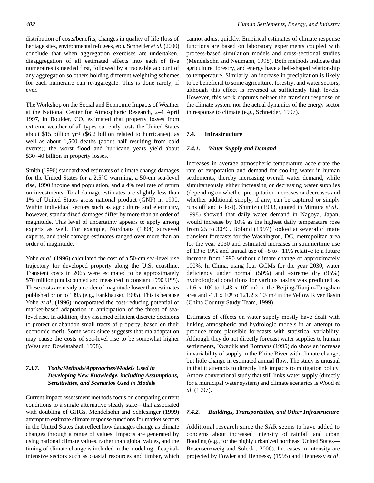distribution of costs/benefits, changes in quality of life (loss of heritage sites, environmental refugees, etc). Schneider *et al*. (2000) conclude that when aggregation exercises are undertaken, disaggregation of all estimated effects into each of five numeraires is needed first, followed by a traceable account of any aggregation so others holding different weighting schemes for each numeraire can re-aggregate. This is done rarely, if ever.

The Workshop on the Social and Economic Impacts of Weather at the National Center for Atmospheric Research, 2–4 April 1997, in Boulder, CO, estimated that property losses from extreme weather of all types currently costs the United States about \$15 billion  $yr<sup>1</sup>$  (\$6.2 billion related to hurricanes), as well as about 1,500 deaths (about half resulting from cold events); the worst flood and hurricane years yield about \$30–40 billion in property losses.

Smith (1996) standardized estimates of climate change damages for the United States for a 2.5°C warming, a 50-cm sea-level rise, 1990 income and population, and a 4% real rate of return on investments. Total damage estimates are slightly less than 1% of United States gross national product (GNP) in 1990. Within individual sectors such as agriculture and electricity, however, standardized damages differ by more than an order of magnitude. This level of uncertainty appears to apply among experts as well. For example, Nordhaus (1994) surveyed experts, and their damage estimates ranged over more than an order of magnitude.

Yohe *et al*. (1996) calculated the cost of a 50-cm sea-level rise trajectory for developed property along the U.S. coastline. Transient costs in 2065 were estimated to be approximately \$70 million (undiscounted and measured in constant 1990 US\$). These costs are nearly an order of magnitude lower than estimates published prior to 1995 (e.g., Fankhauser, 1995). This is because Yohe *et al*. (1996) incorporated the cost-reducing potential of market-based adaptation in anticipation of the threat of sealevel rise. In addition, they assumed efficient discrete decisions to protect or abandon small tracts of property, based on their economic merit. Some work since suggests that maladaptation may cause the costs of sea-level rise to be somewhat higher (West and Dowlatabadi, 1998).

#### *7 . 3 . 7 . Tools/Methods/Approaches/Models Used in Developing New Knowledge, including Assumptions, Sensitivities, and Scenarios Used in Models*

Current impact assessment methods focus on comparing current conditions to a single alternative steady state—that associated with doubling of GHGs. Mendelsohn and Schlesinger (1999) attempt to estimate climate response functions for market sectors in the United States that reflect how damages change as climate changes through a range of values. Impacts are generated by using national climate values, rather than global values, and the timing of climate change is included in the modeling of capitalintensive sectors such as coastal resources and timber, which cannot adjust quickly. Empirical estimates of climate response functions are based on laboratory experiments coupled with process-based simulation models and cross-sectional studies (Mendelsohn and Neumann, 1998). Both methods indicate that agriculture, forestry, and energy have a bell-shaped relationship to temperature. Similarly, an increase in precipitation is likely to be beneficial to some agriculture, forestry, and water sectors, although this effect is reversed at sufficiently high levels. However, this work captures neither the transient response of the climate system nor the actual dynamics of the energy sector in response to climate (e.g., Schneider, 1997).

#### **7.4. Infrastructure**

#### *7.4.1. Water Supply and Demand*

Increases in average atmospheric temperature accelerate the rate of evaporation and demand for cooling water in human settlements, thereby increasing overall water demand, while simultaneously either increasing or decreasing water supplies (depending on whether precipitation increases or decreases and whether additional supply, if any, can be captured or simply runs off and is lost). Shimizu (1993, quoted in Mimura *et al*., 1998) showed that daily water demand in Nagoya, Japan, would increase by 10% as the highest daily temperature rose from 25 to 30°C. Boland (1997) looked at several climate transient forecasts for the Washington, DC, metropolitan area for the year 2030 and estimated increases in summertime use of 13 to 19% and annual use of  $-8$  to  $+11$ % relative to a future increase from 1990 without climate change of approximately 100%. In China, using four GCMs for the year 2030, water deficiency under normal (50%) and extreme dry (95%) hy drological conditions for various basins was predicted as  $-1.6$  x 10<sup>8</sup> to 1.43 x 10<sup>9</sup> m<sup>3</sup> in the Beijing-Tianjin-Tangshan area and -1.1 x 10<sup>8</sup> to 121.2 x 10<sup>8</sup> m<sup>3</sup> in the Yellow River Basin (China Country Study Team, 1999).

Estimates of effects on water supply mostly have dealt with linking atmospheric and hydrologic models in an attempt to produce more plausible forecasts with statistical variability. Although they do not directly forecast water supplies to human settlements, Kwadijk and Rotmans (1995) do show an increase in variability of supply in the Rhine River with climate change, but little change in estimated annual flow. The study is unusual in that it attempts to directly link impacts to mitigation policy. Amore conventional study that still links water supply (directly for a municipal water system) and climate scenarios is Wood *et al*. (1997).

#### *7 . 4 . 2 . Buildings, Transportation, and Other Infrastructure*

Additional research since the SAR seems to have added to concerns about increased intensity of rainfall and urban flooding (e.g., for the highly urbanized northeast United States— Rosensenzweig and Solecki, 2000). Increases in intensity are projected by Fowler and Hennessy (1995) and Hennessy *et al*.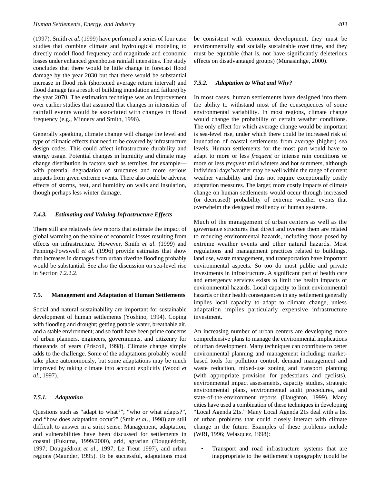(1997). Smith *et al*. (1999) have performed a series of four case studies that combine climate and hydrological modeling to directly model flood frequency and magnitude and economic losses under enhanced greenhouse rainfall intensities. The study concludes that there would be little change in forecast flood damage by the year 2030 but that there would be substantial increase in flood risk (shortened average return interval) and flood damage (as a result of building inundation and failure) by the year 2070. The estimation technique was an improvement over earlier studies that assumed that changes in intensities of rainfall events would be associated with changes in flood frequency (e.g., Minnery and Smith, 1996).

Generally speaking, climate change will change the level and type of climatic effects that need to be covered by infrastructure design codes. This could affect infrastructure durability and energy usage. Potential changes in humidity and climate may change distribution in factors such as termites, for example with potential degradation of structures and more serious impacts from given extreme events. There also could be adverse effects of storms, heat, and humidity on walls and insulation, though perhaps less winter damage.

#### *7.4.3. Estimating and Valuing Infrastructure Effects*

There still are relatively few reports that estimate the impact of global warming on the value of economic losses resulting from effects on infrastructure. However, Smith *et al*. (1999) and Penning-Powswell *et al.* (1996) provide estimates that show that increases in damages from urban riverine flooding probably would be substantial. See also the discussion on sea-level rise in Section 7.2.2.2.

#### **7 . 5 . Management and Adaptation of Human Settlements**

Social and natural sustainability are important for sustainable development of human settlements (Yoshino, 1994). Coping with flooding and drought; getting potable water, breathable air, and a stable environment; and so forth have been prime concerns of urban planners, engineers, governments, and citizenry for thousands of years (Priscoli, 1998). Climate change simply adds to the challenge. Some of the adaptations probably would take place autonomously, but some adaptations may be much improved by taking climate into account explicitly (Wood *et al*., 1997).

#### *7.5.1. Adaptation*

Questions such as "adapt to what?", "who or what adapts?", and "how does adaptation occur?" (Smit *et al*., 1998) are still difficult to answer in a strict sense. Management, adaptation, and vulnerabilities have been discussed for settlements in coastal (Fukuma, 1999/2000), arid, agrarian (Douguédroit, 1997; Douguédroit *et al*., 1997; Le Treut 1997), and urban regions (Maunder, 1995). To be successful, adaptations must

be consistent with economic development, they must be environmentally and socially sustainable over time, and they must be equitable (that is, not have significantly deleterious effects on disadvantaged groups) (Munasinhge, 2000).

#### *7.5.2. Adaptation to What and Why?*

In most cases, human settlements have designed into them the ability to withstand most of the consequences of some environmental variability. In most regions, climate change would change the probability of certain weather conditions. The only effect for which average change would be important is sea-level rise, under which there could be increased risk of inundation of coastal settlements from average (higher) sea levels. Human settlements for the most part would have to adapt to more or less *frequent* or intense rain conditions or more or less *frequent* mild winters and hot summers, although individual days'weather may be well within the range of current weather variability and thus not require exceptionally costly adaptation measures. The larger, more costly impacts of climate change on human settlements would occur through increased (or decreased) probability of extreme weather events that overwhelm the designed resiliency of human systems.

Much of the management of urban centers as well as the governance structures that direct and oversee them are related to reducing environmental hazards, including those posed by extreme weather events and other natural hazards. Most regulations and management practices related to buildings, land use, waste management, and transportation have important environmental aspects. So too do most public and private investments in infrastructure. A significant part of health care and emergency services exists to limit the health impacts of environmental hazards. Local capacity to limit environmental hazards or their health consequences in any settlement generally implies local capacity to adapt to climate change, unless adaptation implies particularly expensive infrastructure investment.

An increasing number of urban centers are developing more comprehensive plans to manage the environmental implications of urban development. Many techniques can contribute to better environmental planning and management including: marketbased tools for pollution control, demand management and waste reduction, mixed-use zoning and transport planning (with appropriate provision for pedestrians and cyclists), environmental impact assessments, capacity studies, strategic environmental plans, environmental audit procedures, and state-of-the-environment reports (Haughton, 1999). Many cities have used a combination of these techniques in developing "Local Agenda 21s." Many Local Agenda 21s deal with a list of urban problems that could closely interact with climate change in the future. Examples of these problems include (WRI, 1996; Velasquez, 1998):

• Transport and road infrastructure systems that are in appropriate to the settlement's topography (could be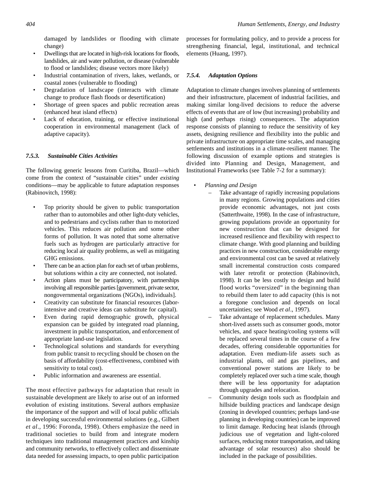damaged by landslides or flooding with climate change)

- Dwellings that are located in high-risk locations for floods, landslides, air and water pollution, or disease (vulnerable to flood or landslides; disease vectors more likely)
- Industrial contamination of rivers, lakes, wetlands, or coastal zones (vulnerable to flooding)
- Degradation of landscape (interacts with climate change to produce flash floods or desertification)
- Shortage of green spaces and public recreation areas (enhanced heat island effects)
- Lack of education, training, or effective institutional cooperation in environmental management (lack of adaptive capacity).

#### *7.5.3. Sustainable Cities Activities*

The following generic lessons from Curitiba, Brazil—which come from the context of "sustainable cities" under *existing* conditions—may be applicable to future adaptation responses (Rabinovitch, 1998):

- Top priority should be given to public transportation rather than to automobiles and other light-duty vehicles, and to pedestrians and cyclists rather than to motorized vehicles. This reduces air pollution and some other forms of pollution. It was noted that some alternative fuels such as hydrogen are particularly attractive for reducing local air quality problems, as well as mitigating GHG emissions.
- There can be an action plan for each set of urban problems, but solutions within a city are connected, not isolated.
- Action plans must be participatory, with partnerships involving all responsible parties [government, private sector, nongovernmental organizations (NGOs), individuals].
- Creativity can substitute for financial resources (laborintensive and creative ideas can substitute for capital).
- Even during rapid demographic growth, physical expansion can be guided by integrated road planning, investment in public transportation, and enforcement of appropriate land-use legislation.
- Technological solutions and standards for everything from public transit to recycling should be chosen on the basis of affordability (cost-effectiveness, combined with sensitivity to total cost).
- Public information and awareness are essential.

The most effective pathways for adaptation that result in sustainable development are likely to arise out of an informed evolution of existing institutions. Several authors emphasize the importance of the support and will of local public officials in developing successful environmental solutions (e.g., Gilbert *et al*., 1996: Foronda, 1998). Others emphasize the need in traditional societies to build from and integrate modern techniques into traditional management practices and kinship and community networks, to effectively collect and disseminate data needed for assessing impacts, to open public participation processes for formulating policy, and to provide a process for strengthening financial, legal, institutional, and technical elements (Huang, 1997).

#### *7.5.4. Adaptation Options*

Adaptation to climate changes involves planning of settlements and their infrastructure, placement of industrial facilities, and making similar long-lived decisions to reduce the adverse effects of events that are of low (but increasing) probability and high (and perhaps rising) consequences*.* The adaptation response consists of planning to reduce the sensitivity of key assets, designing resilience and flexibility into the public and private infrastructure on appropriate time scales, and managing settlements and institutions in a climate-resilient manner. The following discussion of example options and strategies is divided into Planning and Design, Management, and Institutional Frameworks (see Table 7-2 for a summary):

- *Planning and Design*
	- Take advantage of rapidly increasing populations in many regions. Growing populations and cities provide economic advantages, not just costs (Satterthwaite, 1998). In the case of infrastructure, growing populations provide an opportunity for new construction that can be designed for increased resilience and flexibility with respect to climate change. With good planning and building practices in new construction, considerable energy and environmental cost can be saved at relatively small incremental construction costs compared with later retrofit or protection (Rabinovitch, 1998). It can be less costly to design and build flood works "oversized" in the beginning than to rebuild them later to add capacity (this is not a foregone conclusion and depends on local uncertainties; see Wood *et al*., 1997).
	- Take advantage of replacement schedules. Many short-lived assets such as consumer goods, motor vehicles, and space heating/cooling systems will be replaced several times in the course of a few decades, offering considerable opportunities for adaptation. Even medium-life assets such as industrial plants, oil and gas pipelines, and conventional power stations are likely to be completely replaced over such a time scale, though there will be less opportunity for adaptation through upgrades and relocation.
	- Community design tools such as floodplain and hillside building practices and landscape design (zoning in developed countries; perhaps land-use planning in developing countries) can be improved to limit damage. Reducing heat islands (through judicious use of vegetation and light-colored surfaces, reducing motor transportation, and taking advantage of solar resources) also should be included in the package of possibilities.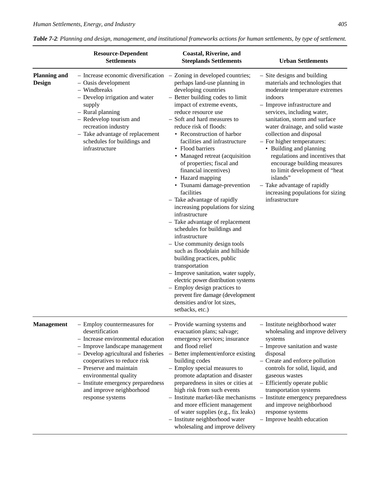|                                      | <b>Resource-Dependent</b><br><b>Settlements</b>                                                                                                                                                                                                                                                                                          | <b>Coastal, Riverine, and</b><br><b>Steeplands Settlements</b>                                                                                                                                                                                                                                                                                                                                                                                                                                                                                                                                                                                                                                                                                                                                                                                                                                                                                     | <b>Urban Settlements</b>                                                                                                                                                                                                                                                                                                                                                                                                                                                                                                              |
|--------------------------------------|------------------------------------------------------------------------------------------------------------------------------------------------------------------------------------------------------------------------------------------------------------------------------------------------------------------------------------------|----------------------------------------------------------------------------------------------------------------------------------------------------------------------------------------------------------------------------------------------------------------------------------------------------------------------------------------------------------------------------------------------------------------------------------------------------------------------------------------------------------------------------------------------------------------------------------------------------------------------------------------------------------------------------------------------------------------------------------------------------------------------------------------------------------------------------------------------------------------------------------------------------------------------------------------------------|---------------------------------------------------------------------------------------------------------------------------------------------------------------------------------------------------------------------------------------------------------------------------------------------------------------------------------------------------------------------------------------------------------------------------------------------------------------------------------------------------------------------------------------|
| <b>Planning and</b><br><b>Design</b> | - Increase economic diversification - Zoning in developed countries;<br>$-$ Oasis development<br>- Windbreaks<br>- Develop irrigation and water<br>supply<br>- Rural planning<br>- Redevelop tourism and<br>recreation industry<br>- Take advantage of replacement<br>schedules for buildings and<br>infrastructure                      | perhaps land-use planning in<br>developing countries<br>- Better building codes to limit<br>impact of extreme events,<br>reduce resource use<br>- Soft and hard measures to<br>reduce risk of floods:<br>• Reconstruction of harbor<br>facilities and infrastructure<br>• Flood barriers<br>• Managed retreat (acquisition<br>of properties; fiscal and<br>financial incentives)<br>• Hazard mapping<br>• Tsunami damage-prevention<br>facilities<br>- Take advantage of rapidly<br>increasing populations for sizing<br>infrastructure<br>- Take advantage of replacement<br>schedules for buildings and<br>infrastructure<br>- Use community design tools<br>such as floodplain and hillside<br>building practices, public<br>transportation<br>- Improve sanitation, water supply,<br>electric power distribution systems<br>- Employ design practices to<br>prevent fire damage (development<br>densities and/or lot sizes,<br>setbacks, etc.) | - Site designs and building<br>materials and technologies that<br>moderate temperature extremes<br>indoors<br>- Improve infrastructure and<br>services, including water,<br>sanitation, storm and surface<br>water drainage, and solid waste<br>collection and disposal<br>- For higher temperatures:<br>• Building and planning<br>regulations and incentives that<br>encourage building measures<br>to limit development of "heat<br>islands"<br>- Take advantage of rapidly<br>increasing populations for sizing<br>infrastructure |
| <b>Management</b>                    | - Employ countermeasures for<br>desertification<br>- Increase environmental education<br>- Improve landscape management<br>- Develop agricultural and fisheries<br>cooperatives to reduce risk<br>- Preserve and maintain<br>environmental quality<br>- Institute emergency preparedness<br>and improve neighborhood<br>response systems | - Provide warning systems and<br>evacuation plans; salvage;<br>emergency services; insurance<br>and flood relief<br>Better implement/enforce existing<br>building codes<br>- Employ special measures to<br>promote adaptation and disaster<br>preparedness in sites or cities at<br>high risk from such events<br>- Institute market-like mechanisms<br>and more efficient management<br>of water supplies (e.g., fix leaks)<br>- Institute neighborhood water<br>wholesaling and improve delivery                                                                                                                                                                                                                                                                                                                                                                                                                                                 | - Institute neighborhood water<br>wholesaling and improve delivery<br>systems<br>- Improve sanitation and waste<br>disposal<br>- Create and enforce pollution<br>controls for solid, liquid, and<br>gaseous wastes<br>- Efficiently operate public<br>transportation systems<br>- Institute emergency preparedness<br>and improve neighborhood<br>response systems<br>- Improve health education                                                                                                                                      |

*Table 7-2: Planning and design, management, and institutional frameworks actions for human settlements, by type of settlement.*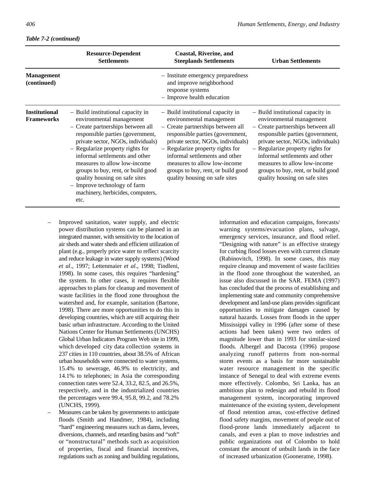#### *Table 7-2 (continued)*

|                                           | <b>Resource-Dependent</b><br><b>Settlements</b>                                                                                                                                                                                                                                                                                                                                                                                        | <b>Coastal, Riverine, and</b><br><b>Steeplands Settlements</b>                                                                                                                                                                                                                                                                                            | <b>Urban Settlements</b>                                                                                                                                                                                                                                                                                                                                  |
|-------------------------------------------|----------------------------------------------------------------------------------------------------------------------------------------------------------------------------------------------------------------------------------------------------------------------------------------------------------------------------------------------------------------------------------------------------------------------------------------|-----------------------------------------------------------------------------------------------------------------------------------------------------------------------------------------------------------------------------------------------------------------------------------------------------------------------------------------------------------|-----------------------------------------------------------------------------------------------------------------------------------------------------------------------------------------------------------------------------------------------------------------------------------------------------------------------------------------------------------|
| <b>Management</b><br>(continued)          |                                                                                                                                                                                                                                                                                                                                                                                                                                        | - Institute emergency preparedness<br>and improve neighborhood<br>response systems<br>- Improve health education                                                                                                                                                                                                                                          |                                                                                                                                                                                                                                                                                                                                                           |
| <b>Institutional</b><br><b>Frameworks</b> | - Build institutional capacity in<br>environmental management<br>- Create partnerships between all<br>responsible parties (government,<br>private sector, NGOs, individuals)<br>- Regularize property rights for<br>informal settlements and other<br>measures to allow low-income<br>groups to buy, rent, or build good<br>quality housing on safe sites<br>- Improve technology of farm<br>machinery, herbicides, computers,<br>etc. | - Build institutional capacity in<br>environmental management<br>- Create partnerships between all<br>responsible parties (government,<br>private sector, NGOs, individuals)<br>- Regularize property rights for<br>informal settlements and other<br>measures to allow low-income<br>groups to buy, rent, or build good<br>quality housing on safe sites | - Build institutional capacity in<br>environmental management<br>- Create partnerships between all<br>responsible parties (government,<br>private sector, NGOs, individuals)<br>- Regularize property rights for<br>informal settlements and other<br>measures to allow low-income<br>groups to buy, rent, or build good<br>quality housing on safe sites |

- Improved sanitation, water supply, and electric power distribution systems can be planned in an integrated manner, with sensitivity to the location of air sheds and water sheds and efficient utilization of plant (e.g., properly price water to reflect scarcity and reduce leakage in water supply systems) (Wood *et al*., 1997; Lettenmaier *et al*., 1998; Tindleni, 1998). In some cases, this requires "hardening" the system. In other cases, it requires flexible approaches to plans for cleanup and movement of waste facilities in the flood zone throughout the watershed and, for example, sanitation (Bartone, 1998). There are more opportunities to do this in developing countries, which are still acquiring their basic urban infrastructure. According to the United Nations Center for Human Settlements (UNCHS) Global Urban Indicators Program Web site in 1999, which developed city data collection systems in 237 cities in 110 countries, about 38.5% of African urban households were connected to water systems, 15.4% to sewerage, 46.9% to electricity, and 14.1% to telephones; in Asia the corresponding connection rates were 52.4, 33.2, 82.5, and 26.5%, respectively, and in the industrialized countries the percentages were 99.4, 95.8, 99.2, and 78.2% (UNCHS, 1999).
- Measures can be taken by governments to anticipate floods (Smith and Handmer, 1984), including "hard" engineering measures such as dams, levees, diversions, channels, and retarding basins and "soft" or "nonstructural" methods such as acquisition of properties, fiscal and financial incentives, regulations such as zoning and building regulations,

information and education campaigns, forecasts/ warning systems/evacuation plans, salvage, emergency services, insurance, and flood relief. "Designing with nature" is an effective strategy for curbing flood losses even with current climate (Rabinovitch, 1998). In some cases, this may require cleanup and movement of waste facilities in the flood zone throughout the watershed, an issue also discussed in the SAR. FEMA (1997) has concluded that the process of establishing and implementing state and community comprehensive development and land-use plans provides significant opportunities to mitigate damages caused by natural hazards. Losses from floods in the upper Mississippi valley in 1996 (after some of these actions had been taken) were two orders of magnitude lower than in 1993 for similar-sized floods. Albergel and Dacosta (1996) propose analyzing runoff patterns from non-normal storm events as a basis for more sustainable water resource management in the specific instance of Senegal to deal with extreme events more effectively. Colombo, Sri Lanka, has an ambitious plan to redesign and rebuild its flood management system, incorporating improved maintenance of the existing system, development of flood retention areas, cost-effective defined flood safety margins, movement of people out of flood-prone lands immediately adjacent to canals, and even a plan to move industries and public organizations out of Colombo to hold constant the amount of unbuilt lands in the face of increased urbanization (Gooneratne, 1998).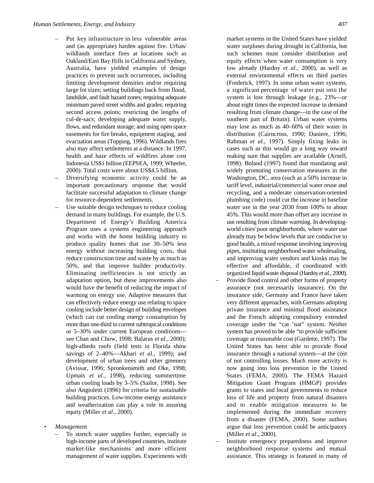- Put key infrastructure in less vulnerable areas and (as appropriate) harden against fire. Urban/ wildlands interface fires at locations such as Oakland/East Bay Hills in California and Sydney, Australia, have yielded examples of design practices to prevent such occurrences, including limiting development densities and/or requiring large lot sizes; setting buildings back from flood, landslide, and fault hazard zones; requiring adequate minimum paved street widths and grades; requiring second access points; restricting the lengths of cul-de-sacs; developing adequate water supply, flows, and redundant storage; and using open space easements for fire breaks, equipment staging, and evacuation areas (Topping, 1996)*.* Wildlands fires also may affect settlements at a distance. In 1997, health and haze effects of wildfires alone cost Indonesia US\$1 billion (EEPSEA, 1999; Wheeler, 2000). Total costs were about US\$4.5 billion.
- Diversifying economic activity could be an important precautionary response that would facilitate successful adaptation to climate change for resource-dependent settlements.
- Use suitable design techniques to reduce cooling demand in many buildings. For example, the U.S. Department of Energy's Building America Program uses a systems engineering approach and works with the home building industry to produce quality homes that use 30–50% less energy without increasing building costs, that reduce construction time and waste by as much as 50%, and that improve builder productivity. Eliminating inefficiencies is not strictly an adaptation option, but these improvements also would have the benefit of reducing the impact of warming on energy use. Adaptive measures that can effectively reduce energy use relating to space cooling include better design of building envelopes (which can cut cooling energy consumption by more than one-third in current subtropical conditions or 5–30% under current European conditions see Chan and Chow, 1998; Balarus *et al*., 2000); high-albedo roofs (field tests in Florida show savings of 2–40%—Akbari *et al*., 1999); and development of urban trees and other greenery (Avissar, 1996; Spronkensmith and Oke, 1998; Upmais *et al*., 1998), reducing summertime urban cooling loads by 3–5% (Sailor, 1998). See also Angioletti (1996) for criteria for sustainable building practices. Low-income energy assistance and weatherization can play a role in assuring equity (Miller *et al*., 2000).
- *Management*
	- To stretch water supplies further, especially in high-income parts of developed countries, institute market-like mechanisms and more efficient management of water supplies. Experiments with

market systems in the United States have yielded water surpluses during drought in California, but such schemes must consider distribution and equity effects when water consumption is very low already (Hardoy *et al*., 2000), as well as external environmental effects on third parties (Frederick, 1997). In some urban water systems, a significant percentage of water put into the system is lost through leakage (e.g., 23%—or about eight times the expected increase in demand resulting from climate change—in the case of the southern part of Britain). Urban water systems may lose as much as 40–60% of their water in distribution (Cairncross, 1990; Daniere, 1996; Rahman *et al.,* 1997). Simply fixing leaks in cases such as this would go a long way toward making sure that supplies are available (Arnell, 1998). Boland (1997) found that mandating and widely promoting conservation measures in the Washington, DC, area (such as a 50% increase in tariff level, industrial/commercial water reuse and recycling, and a moderate conservation-oriented plumbing code) could cut the increase in baseline water use in the year 2030 from 100% to about 45%. This would more than offset any increase in use resulting from climate warming. In developingworld cities'poor neighborhoods, where water use already may be below levels that are conducive to good health, a mixed response involving improving pipes, instituting neighborhood water wholesaling, and improving water vendors and kiosks may be e ffective and affordable, if coordinated with organized liquid waste disposal (Hardoy *et al.*, 2000).

- Provide flood control and other forms of property assurance (not necessarily insurance). On the insurance side, Germany and France have taken very different approaches, with Germans adopting private insurance and minimal flood assistance and the French adopting compulsory extended coverage under the "cat 'nat" system. Neither system has proved to be able "to provide sufficient" coverage at reasonable cost (Gardette, 1997). The United States has been able to provide flood insurance through a national system—at the cost of not controlling losses. Much more activity is now going into loss prevention in the United States (FEMA, 2000). The FEMA Hazard Mitigation Grant Program (HMGP) provides grants to states and local governments to reduce loss of life and property from natural disasters and to enable mitigation measures to be implemented during the immediate recovery from a disaster (FEMA, 2000). Some authors argue that loss prevention could be anticipatory (Miller *et al*., 2000).
- Institute emergency preparedness and improve neighborhood response systems and mutual assistance. This strategy is featured in many of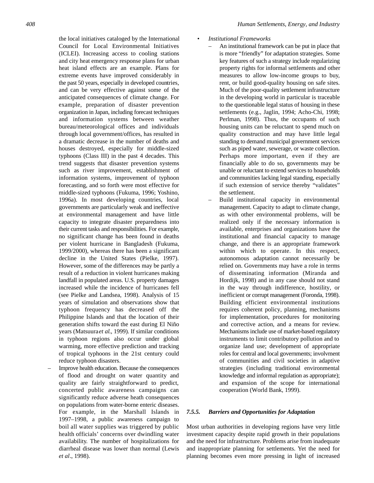the local initiatives cataloged by the International Council for Local Environmental Initiatives (ICLEI). Increasing access to cooling stations and city heat emergency response plans for urban heat island effects are an example. Plans for extreme events have improved considerably in the past 50 years, especially in developed countries, and can be very effective against some of the anticipated consequences of climate change. For example, preparation of disaster prevention organization in Japan, including forecast techniques and information systems between weather bureau/meteorological offices and individuals through local government/offices, has resulted in a dramatic decrease in the number of deaths and houses destroyed, especially for middle-sized typhoons (Class III) in the past 4 decades. This trend suggests that disaster prevention systems such as river improvement, establishment of information systems, improvement of typhoon forecasting, and so forth were most effective for middle-sized typhoons (Fukuma, 1996; Yoshino, 1996a). In most developing countries, local governments are particularly weak and ineffective at environmental management and have little capacity to integrate disaster preparedness into their current tasks and responsibilities. For example, no significant change has been found in deaths per violent hurricane in Bangladesh (Fukuma, 1999/2000), whereas there has been a significant decline in the United States (Pielke, 1997). However, some of the differences may be partly a result of a reduction in violent hurricanes making landfall in populated areas. U.S. property damages increased while the incidence of hurricanes fell (see Pielke and Landsea, 1998). Analysis of 15 years of simulation and observations show that typhoon frequency has decreased off the Philippine Islands and that the location of their generation shifts toward the east during El Niño years (Matsuura *et al*., 1999). If similar conditions in typhoon regions also occur under global

reduce typhoon disasters. – Improve health education. Because the consequences of flood and drought on water quantity and quality are fairly straightforward to predict, concerted public awareness campaigns can significantly reduce adverse heath consequences on populations from water-borne enteric diseases. For example, in the Marshall Islands in 1997–1998, a public awareness campaign to boil all water supplies was triggered by public health officials' concerns over dwindling water availability. The number of hospitalizations for diarrheal disease was lower than normal (Lewis *et al*., 1998).

warming, more effective prediction and tracking of tropical typhoons in the 21st century could

- *Institutional Frameworks*
	- An institutional framework can be put in place that is more "friendly" for adaptation strategies. Some key features of such a strategy include regularizing property rights for informal settlements and other measures to allow low-income groups to buy, rent, or build good-quality housing on safe sites. Much of the poor-quality settlement infrastructure in the developing world in particular is traceable to the questionable legal status of housing in these settlements (e.g., Jaglin, 1994; Acho-Chi, 1998; Perlman, 1998). Thus, the occupants of such housing units can be reluctant to spend much on quality construction and may have little legal standing to demand municipal government services such as piped water, sewerage, or waste collection. Perhaps more important, even if they are financially able to do so, governments may be unable or reluctant to extend services to households and communities lacking legal standing, especially if such extension of service thereby "validates" the settlement.
	- Build institutional capacity in environmental management. Capacity to adapt to climate change, as with other environmental problems, will be realized only if the necessary information is available, enterprises and organizations have the institutional and financial capacity to manage change, and there is an appropriate framework within which to operate. In this respect, autonomous adaptation cannot necessarily be relied on. Governments may have a role in terms of disseminating information (Miranda and Hordijk, 1998) and in any case should not stand in the way through indifference, hostility, or in efficient or corrupt management (Foronda, 1998). Building efficient environmental institutions requires coherent policy, planning, mechanisms for implementation, procedures for monitoring and corrective action, and a means for review. Mechanisms include use of market-based regulatory instruments to limit contributory pollution and to organize land use; development of appropriate roles for central and local governments; involvment of communities and civil societies in adaptive strategies (including traditional environmental knowledge and informal regulation as appropriate); and expansion of the scope for international cooperation (World Bank, 1999).

#### *7.5.5. Barriers and Opportunities for Adaptation*

Most urban authorities in developing regions have very little investment capacity despite rapid growth in their populations and the need for infrastructure. Problems arise from inadequate and inappropriate planning for settlements. Yet the need for planning becomes even more pressing in light of increased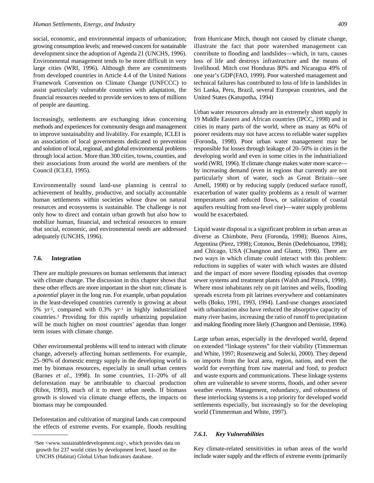social, economic, and environmental impacts of urbanization; growing consumption levels; and renewed concern for sustainable development since the adoption of Agenda 21 (UNCHS, 1996). Environmental management tends to be more difficult in very large cities (WRI, 1996). Although there are commitments from developed countries in Article 4.4 of the United Nations Framework Convention on Climate Change (UNFCCC) to assist particularly vulnerable countries with adaptation, the financial resources needed to provide services to tens of millions of people are daunting.

Increasingly, settlements are exchanging ideas concerning methods and experiences for community design and management to improve sustainability and livability. For example, ICLEI is an association of local governments dedicated to prevention and solution of local, regional, and global environmental problems through local action. More than 300 cities, towns, counties, and their associations from around the world are members of the Council (ICLEI, 1995).

Environmentally sound land-use planning is central to a chievement of healthy, productive, and socially accountable human settlements within societies whose draw on natural resources and ecosystems is sustainable. The challenge is not only how to direct and contain urban growth but also how to mobilize human, financial, and technical resources to ensure that social, economic, and environmental needs are addressed adequately (UNCHS, 1996).

#### **7.6. Integration**

There are multiple pressures on human settlements that interact with climate change. The discussion in this chapter shows that these other effects are more important in the short run; climate is a *potential* player in the long run. For example, urban population in the least-developed countries currently is growing at about 5% yr-1, compared with 0.3% yr-1 in highly industrialized countries.<sup>1</sup> Providing for this rapidly urbanizing population will be much higher on most countries' agendas than longer term issues with climate change.

Other environmental problems will tend to interact with climate change, adversely affecting human settlements. For example, 25–90% of domestic energy supply in the developing world is met by biomass resources, especially in small urban centers (Barnes *et al*., 1998). In some countries, 11–20% of all deforestation may be attributable to charcoal production (Ribot, 1993), much of it to meet urban needs. If biomass growth is slowed via climate change effects, the impacts on biomass may be compounded.

Deforestation and cultivation of marginal lands can compound the effects of extreme events. For example, floods resulting

from Hurricane Mitch, though not caused by climate change, illustrate the fact that poor watershed management can contribute to flooding and landslides—which, in turn, causes loss of life and destroys infrastructure and the means of livelihood. Mitch cost Honduras 80% and Nicaragua 49% of one year's GDP(FAO, 1999). Poor watershed management and technical failures has contributed to loss of life in landslides in Sri Lanka, Peru, Brazil, several European countries, and the United States (Katupotha, 1994)

Urban water resources already are in extremely short supply in 19 Middle Eastern and African countries (IPCC, 1998) and in cities in many parts of the world, where as many as 60% of poorer residents may not have access to reliable water supplies (Foronda, 1998). Poor urban water management may be responsible for losses through leakage of 20–50% in cities in the developing world and even in some cities in the industrialized world (WRI, 1996). If climate change makes water more scarce by increasing demand (even in regions that currently are not particularly short of water, such as Great Britain—see Arnell, 1998) or by reducing supply (reduced surface runoff, exacerbation of water quality problems as a result of warmer temperatures and reduced flows, or salinization of coastal aquifers resulting from sea-level rise)—water supply problems would be exacerbated.

Liquid waste disposal is a significant problem in urban areas as diverse as Chimbote, Peru (Foronda, 1998); Buenos Aires, Argentina (Pirez, 1998); Cotonou, Benin (Dedehouanou, 1998); and Chicago, USA (Changnon and Glantz, 1996). There are two ways in which climate could interact with this problem: reductions in supplies of water with which wastes are diluted and the impact of more severe flooding episodes that overtop sewer systems and treatment plants (Walsh and Pittock, 1998). Where most inhabitants rely on pit latrines and wells, flooding spreads excreta from pit latrines everywhere and contaminates wells (Boko, 1991, 1993, 1994). Land-use changes associated with urbanization also have reduced the absorptive capacity of many river basins, increasing the ratio of runoff to precipitation and making flooding more likely (Changnon and Demissie, 1996).

Large urban areas, especially in the developed world, depend on extended "linkage systems" for their viability (Timmerman and White, 1997; Rosenzweig and Solecki, 2000). They depend on imports from the local area, region, nation, and even the world for everything from raw material and food, to product and waste exports and communications. These linkage systems often are vulnerable to severe storms, floods, and other severe weather events. Management, redundancy, and robustness of these interlocking systems is a top priority for developed world settlements especially, but increasingly so for the developing world (Timmerman and White, 1997).

#### *7.6.1. Key Vulnerabilities*

Key climate-related sensitivities in urban areas of the world include water supply and the effects of extreme events (primarily

<sup>1</sup>See <www.sustainabledevelopment.org>, which provides data on growth for 237 world cities by development level, based on the UNCHS (Habitat) Global Urban Indicators database.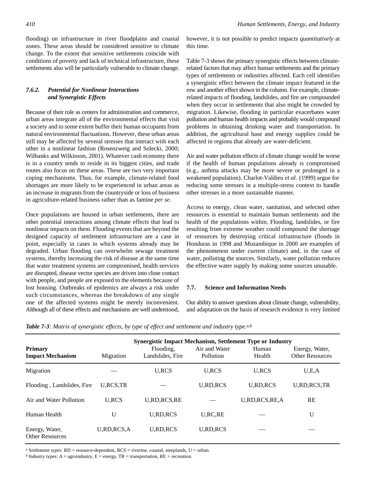flooding) on infrastructure in river floodplains and coastal zones. These areas should be considered sensitive to climate change. To the extent that sensitive settlements coincide with conditions of poverty and lack of technical infrastructure, these settlements also will be particularly vulnerable to climate change.

#### *7.6.2. Potential for Nonlinear Interactions and Synergistic Effects*

Because of their role as centers for administration and commerce, urban areas integrate all of the environmental effects that visit a society and to some extent buffer their human occupants from natural environmental fluctuations. However, these urban areas still may be affected by several stresses that interact with each other in a nonlinear fashion (Rosenzweig and Solecki, 2000; Wilbanks and Wilkinson, 2001). Whatever cash economy there is in a country tends to reside in its biggest cities, and trade routes also focus on these areas. These are two very important coping mechanisms. Thus, for example, climate-related food shortages are more likely to be experienced in urban areas as an increase in migrants from the countryside or loss of business in agriculture-related business rather than as famine *per se*.

Once populations are housed in urban settlements, there are other potential interactions among climate effects that lead to nonlinear impacts on them. Flooding events that are beyond the designed capacity of settlement infrastructure are a case in point, especially in cases in which systems already may be degraded. Urban flooding can overwhelm sewage treatment systems, thereby increasing the risk of disease at the same time that water treatment systems are compromised, health services are disrupted, disease vector species are driven into close contact with people, and people are exposed to the elements because of lost housing. Outbreaks of epidemics are always a risk under such circumstances, whereas the breakdown of any single one of the affected systems might be merely inconvenient. Although all of these effects and mechanisms are well understood, however, it is not possible to predict impacts *quantitatively* at this time.

Table 7-3 shows the primary synergistic effects between climaterelated factors that may affect human settlements and the primary types of settlements or industries affected. Each cell identifies a synergistic effect between the climate impact featured in the row and another effect shown in the column. For example, climaterelated impacts of flooding, landslides, and fire are compounded when they occur in settlements that also might be crowded by migration. Likewise, flooding in particular exacerbates water pollution and human health impacts and probably would compound problems in obtaining drinking water and transportation. In addition, the agricultural base and energy supplies could be affected in regions that already are water-deficient.

Air and water pollution effects of climate change would be worse if the health of human populations already is compromised (e.g., asthma attacks may be more severe or prolonged in a weakened population). Charlot-Valdieu *et al.* (1999) argue for reducing some stresses in a multiple-stress context to handle other stresses in a more sustainable manner.

Access to energy, clean water, sanitation, and selected other resources is essential to maintain human settlements and the health of the populations within. Flooding, landslides, or fire resulting from extreme weather could compound the shortage of resources by destroying critical infrastructure (floods in Honduras in 1998 and Mozambique in 2000 are examples of the phenomenon under current climate) and, in the case of water, polluting the sources. Similarly, water pollution reduces the effective water supply by making some sources unusable.

#### **7.7. Science and Information Needs**

Our ability to answer questions about climate change, vulnerability, and adaptation on the basis of research evidence is very limited

| <b>Synergistic Impact Mechanism, Settlement Type or Industry</b> |            |                               |                            |                 |                                          |  |
|------------------------------------------------------------------|------------|-------------------------------|----------------------------|-----------------|------------------------------------------|--|
| <b>Primary</b><br><b>Impact Mechanism</b>                        | Migration  | Flooding,<br>Landslides, Fire | Air and Water<br>Pollution | Human<br>Health | Energy, Water,<br><b>Other Resources</b> |  |
| Migration                                                        |            | U,RCS                         | U,RCS                      | U,RCS           | U.E.A                                    |  |
| Flooding, Landslides, Fire                                       | U, RCS, TR |                               | U,RD,RCS                   | U,RD,RCS        | U,RD,RCS,TR                              |  |
| Air and Water Pollution                                          | U,RCS      | U,RD,RCS,RE                   |                            | U,RD,RCS,RE,A   | RE                                       |  |
| Human Health                                                     | U          | U,RD,RCS                      | U,RC,RE                    |                 | U                                        |  |
| Energy, Water,<br><b>Other Resources</b>                         | U,RD,RCS,A | U,RD,RCS                      | U,RD,RCS                   |                 |                                          |  |

*Table 7-3: Matrix of synergistic effects, by type of effect and settlement and industry type.a,b*

<sup>a</sup> Settlement types:  $RD$  = resource-dependent,  $RCS$  = riverine, coastal, steeplands,  $U$  = urban.

 $b$  Industry types: A = agroindustry, E = energy, TR = transportation, RE = recreation.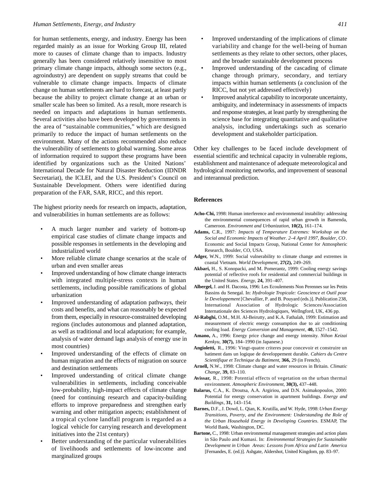for human settlements, energy, and industry. Energy has been regarded mainly as an issue for Working Group III, related more to causes of climate change than to impacts. Industry generally has been considered relatively insensitive to most primary climate change impacts, although some sectors (e.g., agroindustry) are dependent on supply streams that could be vulnerable to climate change impacts. Impacts of climate change on human settlements are hard to forecast, at least partly because the ability to project climate change at an urban or smaller scale has been so limited. As a result, more research is needed on impacts and adaptations in human settlements. Several activities also have been developed by governments in the area of "sustainable communities," which are designed primarily to reduce the impact of human settlements on the environment. Many of the actions recommended also reduce the vulnerability of settlements to global warming. Some areas of information required to support these programs have been identified by organizations such as the United Nations' International Decade for Natural Disaster Reduction (IDNDR Secretariat), the ICLEI, and the U.S. President's Council on Sustainable Development. Others were identified during preparation of the FAR, SAR, RICC, and this report.

The highest priority needs for research on impacts, adaptation, and vulnerabilities in human settlements are as follows:

- A much larger number and variety of bottom-up empirical case studies of climate change impacts and possible responses in settlements in the developing and industrialized world
- More reliable climate change scenarios at the scale of urban and even smaller areas
- Improved understanding of how climate change interacts with integrated multiple-stress contexts in human settlements, including possible ramifications of global urbanization
- Improved understanding of adaptation pathways, their costs and benefits, and what can reasonably be expected from them, especially in resource-constrained developing regions (includes autonomous and planned adaptation, as well as traditional and local adaptation; for example, analysis of water demand lags analysis of energy use in most countries)
- Improved understanding of the effects of climate on human migration and the effects of migration on source and destination settlements
- Improved understanding of critical climate change vulnerabilities in settlements, including conceivable low-probability, high-impact effects of climate change (need for continuing research and capacity-building efforts to improve preparedness and strengthen early warning and other mitigation aspects; establishment of a tropical cyclone landfall program is regarded as a logical vehicle for carrying research and development initiatives into the 21st century)
- Better understanding of the particular vulnerabilities of livelihoods and settlements of low-income and marginalized groups
- Improved understanding of the implications of climate variability and change for the well-being of human settlements as they relate to other sectors, other places, and the broader sustainable development process
- Improved understanding of the cascading of climate change through primary, secondary, and tertiary impacts within human settlements (a conclusion of the RICC, but not yet addressed effectively)
- Improved analytical capability to incorporate uncertainty, ambiguity, and indeterminacy in assessments of impacts and response strategies, at least partly by strengthening the science base for integrating quantitative and qualitative analysis, including undertakings such as scenario development and stakeholder participation.

Other key challenges to be faced include development of essential scientific and technical capacity in vulnerable regions, establishment and maintenance of adequate meteorological and hydrological monitoring networks, and improvement of seasonal and interannual prediction.

#### **References**

- Acho-Chi, 1998: Human interference and environmental instability: addressing the environmental consequences of rapid urban growth in Bamenda, Cameroon. *Environment and Urbanization*, **10(2),** 161–174.
- **Adams,** C.R., 1997: *Impacts of Temperature Extremes: Workshop on the Social and Economic Impacts of Weather. 2–4 April 1997, Boulder, CO*. Economic and Social Impacts Group, National Center for Atmospheric Research, Boulder, CO, USA.
- **Adger,** W.N., 1999: Social vulnerability to climate change and extremes in coastal Vietnam. *World Development*, **27(2),** 249–269.
- **Akbari,** H., S. Konopacki, and M. Pomerantz, 1999: Cooling energy savings potential of reflective roofs for residential and commercial buildings in the United States. *Energy*, **24,** 391–407.
- Albergel, J. and H. Dacosta, 1996: Les Ecoulements Non Perennes sur les Petits Bassins du Senegal. In: *Hydrologie Tropicale: Geoscience et Outil pour le Developpement* [Chevallier, P. and B. Pouyard (eds.)]. Publication 238, International Association of Hydrologic Sciences/Association Internationale des Sciences Hydrologiques, Wellngford, UK, 436 pp.
- **Al-Rabghi,** O.M., M.H. Al-Beirutty, and K.A. Fathalah, 1999: Estimation and measurement of electric energy consumption due to air conditioning cooling load. *Energy Conversion and Management*, **40,** 1527–1542.
- **Amano,** A., 1996: Energy price change and energy intensity. *Nihon Keizai Kenkyu*, **30(7),** 184–1990 (in Japanese.)
- **Angioletti,** R., 1996: Vingt-quatre criteres pour concevoir et construire un batiment dans un logique de developpement durable. Cahiers du Centre *Scientifique et Technique du Batiment*, **366,** 29 (in French).
- **Arnell,** N.W., 1998: Climate change and water resources in Britain. *Climatic Change*, **39,** 83–110.
- Avissar, R., 1998: Potential effects of vegetation on the urban thermal environment. Atmospheric Environment, 30(3), 437-448.
- **Balarus,** C.A., K. Droutsa, A.A. Argiriou, and D.N. Asimakopoulos, 2000: Potential for energy conservation in apartment buildings. *Energy and Buildings*, **31,** 143–154.
- **Barnes,** D.F., J. Dowd, L. Qian, K. Krutilla, and W. Hyde, 1998: *Urban Energy Transitions, Poverty, and the Environment: Understanding the Role of the Urban Household Energy in Developing Countries*. ESMAP, The World Bank, Washington, DC.
- Bartone, C., 1998: Urban environmental management strategies and action plans in São Paulo and Kumasi. In: *Environmental Strategies for Sustainable Development in Urban Areas: Lessons from Africa and Latin America* [Fernandes, E. (ed.)]. Ashgate, Aldershot, United Kingdom, pp. 83–97.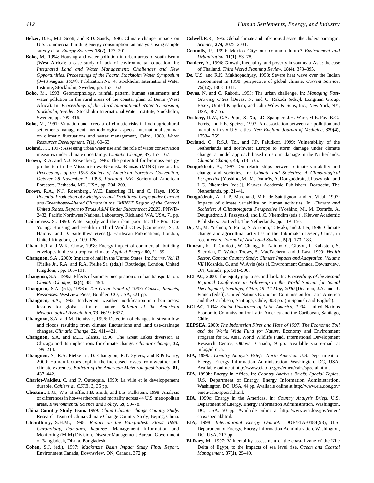- **Belzer,** D.B., M.J. Scott, and R.D. Sands, 1996: Climate change impacts on U.S. commercial building energy consumption: an analysis using sample survey data. *Energy Sources*, **18(2),** 177–201.
- **Boko,** M., 1994: Housing and water pollution in urban areas of south Benin (West Africa): a case study of lack of environmental education. In: *Integrated Land and Water Management: Challenges and New Opportunities. Proceedings of the Fourth Stockholm Water Symposium (9–13 August, 1994)*. Publication No. 4, Stockholm International Water Institute, Stockholm, Sweden, pp. 153–162.
- **Boko,** M., 1993: Geomorphology, rainfall pattern, human settlements and water pollution in the rural areas of the coastal plain of Benin (West Africa). In: *Proceedings of the Third International Water Symposium, Stockholm, Sweden.* Stockholm International Water Institute, Stockholm, Sweden, pp. 409–416.
- **Boko,** M., 1991: Valuation and forecast of climatic risks in hydroagricultural settlements management: methodological aspects; international seminar on climatic fluctuations and water management, Cairo, 1989. *Water Resources Development*, **7(1),** 60–63.
- **Boland, J.J., 1997: Assessing urban water use and the role of water conservation** measures under climate uncertainty. *Climatic Change*, **37,** 157–167.
- Brown, R.A. and N.J. Rosenberg, 1996: The potential for biomass energy production in the Missouri-Iowa-Nebraska-Kansas (MINK) region. In: *Proceedings of the 1995 Society of American Foresters Convention, Octover 28–November 1, 1995, Portland, ME.* Society of American Foresters, Bethesda, MD, USA, pp. 204–209.
- Brown, R.A., N.J. Rosenberg,, W.E. Easterling III, and C. Hays, 1998: Potential Production of Switchgrass and Traditional Crops under Current and Greenhouse-Altered Climate in the "MINK" Region of the Central *United States. Report to Texas A&M Under Subcontract 22023*. PNWD-2432, Pacific Northwest National Laboratory, Richland, WA, USA, 71 pp.
- **Cairncross,** S., 1990: Water supply and the urban poor. In: The Poor Die Young: Housing and Health in Third World Cities [Cairncross, S., J. Hardoy, and D. Satterthwaite(eds.)]. Earthscan Publications, London, United Kingdom, pp. 109–126.
- **Chan,** K.T and W.K. Chow, 1998: Energy impact of commercial -building envelopes in the sub-tropical climate. *Applied Energy*, **60,** 21–39.
- **Changnon,** S.A., 2000: Impacts of hail in the United States. In: *Storms, Vol. II* [Pielke Jr., R.A. and R.A. Pielke Sr. (eds.)]. Routledge, London, United Kingdom, , pp. 163–191.
- **Changnon, S.A., 1996a: Effects of summer precipitation on urban transportation.** *Climatic Change*, **32(4),** 481–494.
- **Changnon,** S.A. (ed.), 1996b: *The Great Flood of 1993: Causes, Impacts, Responses*. Westview Press, Boulder, CO, USA, 321 pp.
- **Changnon,** S.A., 1992: Inadvertent weather modification in urban areas: lessons for global climate change. *Bulletin of the American Meteorological Association*, **73,** 6619–6627.
- **Changnon,** S.A. and M. Demissie, 1996: Detection of changes in streamflow and floods resulting from climate fluctuations and land use-drainage changes. *Climatic Change*, **32,** 411–421.
- **Changnon,** S.A. and M.H. Glantz, 1996: The Great Lakes diversion at Chicago and its implications for climate change. *Climatic Change* , **32,** 199–214.
- **Changnon,** S., R.A. Pielke Jr., D. Changnon, R.T. Sylves, and R.Pulwarty, 2000: Human factors explain the increased losses from weather and climate extremes. *Bulletin of the American Meteorological Society*, 81, 437–442.
- **Charlot-Valdieu,** C. and P. Outrequin, 1999: La ville et le developpement durable. *Cahiers du CSTB*, **3,** 35 pp.
- **Chestnut,** L.G., W.S. Breffle, J.B. Smith, and L.S. Kalkstein, 1998: Analysis of differences in hot-weather-related mortality across 44 U.S. metropolitan areas. *Environmental Science and Policy*, **59,** 59–78.
- **China Country Study Team,** 1999: *China Climate Change Country Study*. Research Team of China Climate Change Country Study, Bejing, China.
- Choudhury, S.H.M., 1998: Report on the Bangladesh Flood 1998: Chronology, Damages, Reponse. Management Information and Monitoring (MIM) Division, Disaster Management Bureau, Government of Bangladesh, Dhaka, Bangladesh.
- Cohen, S.J. (ed.), 1997: *Mackenzie Basin Impact Study Final Report*. Environment Canada, Downsview, ON, Canada, 372 pp.
- **Colwell, R.R., 1996: Global climate and infectious disease: the cholera paradigm.** *Science*, **274,** 2025–2031.
- **Connolly,** P., 1999: Mexico City: our common future? *Environment and Urbanization*, **11(1),** 53–78.
- **Daniere,** A., 1996: Growth, inequality, and poverty in southeast Asia: the case of Thailand. *Third World Planning Review*, **18(4),** 373–395.
- **De,** U.S. and R.K. Mukhopadhyay, 1998: Severe heat wave over the Indian subcontinent in 1998: perspective of global climate. *Current Science*, **75(12),** 1308–1311.
- **Devas,** N. and C. Rakodi, 1993: The urban challenge. In: *Managing Fast-Growing Cities* [Devas, N. and C. Rakodi (eds.)]. Longman Group, Essex, United Kingdom, and John Wiley & Sons, Inc., New York, NY, USA, 387 pp.
- **Dockery,** D.W., C.A. Pope, X. Xu, J.D. Spangler, J.H. Ware, M.E. Fay, B.G. Ferris, and F.E. Speizer, 1993: An association between air pollution and mortality in six U.S. cities. *New England Journal of Medicine*, **329(4),** 1753–1759.
- **Dorland,** C., R.S.J. Tol, and J.P. Palutikof, 1999: Vulnerability of the Netherlands and northwest Europe to storm damage under climate change: a model approach based on storm damage in the Netherlands. *Climatic Change*, **43,** 513–535.
- **Douguédroit,** A., 1997: On relationships between climate variability and change and societies. In: *Climate and Societies: A Climatological Perspective* [Yoshino, M., M. Domrös, A. Douguédroit, J. Paszynski, and L.C. Nkemdim (eds.)]. Kluwer Academic Publishers, Dortrecht, The Netherlands, pp. 21–41.
- **Douguédroit,** A., J.-P. Marchand, M.F. de Saintignon, and A. Vidal, 1997: Impacts of climate variability on human activities. In: *Climate and Societies: A Climatological Perspective* [Yoshino, M., M. Domrös, A. Douguédroit, J. Paszynski, and L.C. Nkemdim (eds.)]. Kluwer Academic Publishers, Dortrecht, The Netherlands, pp. 119–150.
- **Du,** M., M. Yoshino, Y. Fujita, S. Arizono, T. Maki, and J. Lei, 1996: Climate change and agricultural activities in the Taklimakan Desert, China, in recent years. *Journal of Arid Land Studies*, **5(2),** 173–183.
- **Duncan,** K., T. Guidotti, W. Chung,, K. Naidoo, G. Gibson, L. Kalkstein, S. Sheridan, D. Walter-Toews, S. MacEachern, and J. Last, 1999: *Health Sector. Canada Country Study: Climate Impacts and Adaptation, Volume VII* [Koshida, G. and W.Avis (eds.)]. Environment Canada, Downsview, ON, Canada, pp. 501–590.
- **ECLAC,** 2000: The equity gap: a second look. In: *Proceedings of the Second Regional Conference in Follow-up to the World Summit for Social Development, Santiago, Chile, 15–17 May, 2000* [Deampo, J.A. and R. Franco (eds.)]. United Nations Economic Commission for Latin America and the Caribbean, Santiago, Chile, 303 pp. (in Spanish and English).
- **ECLAC,** 1994: *Social Panorama of Latin America, 1994*. United Nations Economic Commission for Latin America and the Caribbean, Santiago, Chile.
- **EEPSEA,** 2000: *The Indonesian Fires and Haze of 1997: The Economic Toll and the World Wide Fund for Nature*. Economy and Environment Program for SE Asia, World Wildlife Fund, International Development Research Centre, Ottawa, Canada, 9 pp. Available via e-mail at info@idrc.ca.
- **EIA,** 1999a: *Country Analysis Briefs: North America*. U.S. Department of Energy, Energy Information Administration, Washington, DC, USA. Available online at http://www.eia.doe.gov/emeu/cabs/special.html.
- **EIA,** 1999b: Energy in Africa. In: *Country Analysis Briefs: Special Topics*. U.S. Department of Energy, Energy Information Administration, Washington, DC, USA, 44 pp. Available online at http://www.eia.doe.gov/ emeu/cabs/special.html.
- **EIA,** 1999c: Energy in the Americas. In: *Country Analysis Briefs*. U.S. Department of Energy, Energy Information Administration, Washington, DC, USA, 50 pp. Available online at http://www.eia.doe.gov/emeu/ cabs/special.html.
- **E I A ,** 1998: *International Energy Outlook* . DOE/EIA-0484(98), U.S. Department of Energy, Energy Information Administration, Washington, DC, USA, 217 pp.
- **El-Raey,** M., 1997: Vulnerability assessment of the coastal zone of the Nile Delta of Egypt, to the impacts of sea level rise. *Ocean and Coastal Management*, **37(1),** 29–40.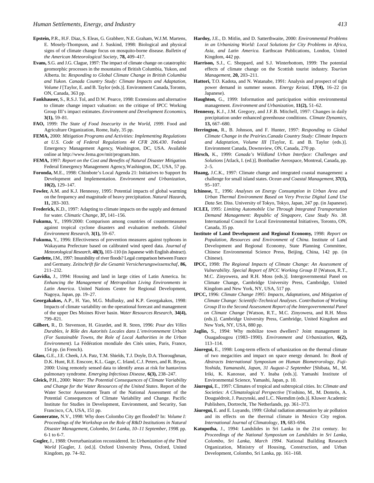- **Epstein,** P.R., H.F. Diaz, S. Eleas, G. Grabherr, N.E. Graham, W.J.M. Martens, E. Mosely-Thompson, and J. Suskind, 1998: Biological and physical signs of of climate change focus on mosquito-borne disease. *Bulletin of the American Meteorological Society*, **78,** 409–417.
- **Evans, S.G.** and J.G. Clague, 1997: The impact of climate change on catastrophic geomorphic processes in the mountains of British Columbia, Yukon, and Alberta. In: *Responding to Global Climate Change in British Columbia and Yukon. Canada Country Study: Climate Impacts and Adaptation, Volume I* [Taylor, E. and B. Taylor (eds.)]. Environment Canada, Toronto, ON, Canada, 363 pp.
- **Fankhauser,** S., R.S.J. Tol, and D.W. Pearce, 1998: Extensions and alternative to climate change impact valuation: on the critique of IPCC Working Group III's impact estimates. *Environment and Development Economics*, **3(1),** 59–81.
- **FAO,** 1999: *The State of Food Insecurity in the World, 1999*. Food and Agriculture Organization, Rome, Italy, 35 pp.
- **FEMA,** 2000: *Mitigation Programs and Activities: Implementing Regulations at U.S. Code of Federal Regulations 44 CFR 206.430*. Federal Emergency Management Agency, Washington, DC, USA. Available online at http://www.fema.gov/mit/program.htm.
- **FEMA,** 1997: *Report on the Cost and Benefits of Natural Disaster Mitigation*. Federal Emergency Management Agency,Washington, DC, USA, 57 pp.
- **Foronda,** M.E., 1998: Chimbote's Local Agenda 21: Initiatives to Support Its Development and Implementation. *Environment and Urbanization*, **10(2),** 129–147.
- **Fowler,** A.M. and K.J. Hennessy, 1995: Potential impacts of global warming on the frequency and magnitude of heavy precipitation. *Natural Hazards*, **11,** 283–303.
- **Frederick,** K.D., 1997: Adapting to climate impacts on the supply and demand for water. *Climatic Change*, **37,** 141–156.
- **Fukuma,** Y., 1999/2000: Comparison among countries of countermeasures against tropical cyclone disasters and evaluation methods. Global *Environment Research*, **3(1),** 59–67.
- **Fukuma,** Y., 1996: Effectiveness of prevention measures against typhoons in Wakayama Prefecture based on calibrated wind speed data. *Journal of Meteorological Research*, 48(3), 103-110 (in Japanese with English abstract).
- Gardette, J.M., 1997: Insurability of river floods? Legal comparison between France and Germany. *Zeitschrift für die Gesamit Versicherungswissenschaf*, **86,** 211–232.
- **Gavidia,** J., 1994: Housing and land in large cities of Latin America. In: *Enhancing the Management of Metropolitan Living Environments in* Latin America. United Nations Centre for Regional Development, Nagoya, Japan, pp. 19–27.
- **Georgakakos,** A.P., H. Yao, M.G. Mullusky, and K.P. Georgakakos, 1998: Impacts of climate variability on the operational forecast and management of the upper Des Moines River basin. *Water Resources Research*, **34(4),** 799–821.
- **Gilbert,** R., D. Stevenson, H. Girardet, and R. Stren, 1996: *Pour des Villes Durables, le Rôle des Autorités Locales dans L'environnement Urbain (For Sustainable Towns, the Role of Local Authorities in the Urban Environment)*. La Fédération mondiale des Cités unies, Paris, France, 154 pp. (in French).
- Glass, G.E., J.E. Cheek, J.A. Patz, T.M. Shields, T.J. Doyle, D.A. Thoroughman, D.K. Hunt, R.E. Enscore, K.L. Gage, C. Irland, C.J. Peters, and R. Bryan, 2000: Using remotely sensed data to identify areas at risk for hantavirus pulmonary syndrome. *Emerging Infectious Disease*, **6(3),** 238–247.
- **Gleick,** P.H., 2000: *Water: The Potential Consequences of Climate Variability and Change for the Water Resources of the United States*. Report of the Water Sector Assessment Team of the National Assessment of the Potential Consequences of Climate Variability and Change. Pacific Institute for Studies in Development, Environment, and Security, San Francisco, CA, USA, 151 pp.
- **Gooneratne,** N.V., 1998: Why does Colombo City get flooded? In: *Volume I: Proceedings of the Workshop on the Role of R&D Institutions in Natural Disaster Management, Colombo, Sri Lanka, 10–11 September, 1998*. pp. 6-1 to 6-7.
- **Gugler,** J., 1988: Overurbanization reconsidered. In: *Urbanization of the Third World* [Gugler, J. (ed.)]. Oxford University Press, Oxford, United Kingdom, pp. 74–92.
- **Hardoy,** J.E., D. Mitlin, and D. Satterthwaite, 2000: *Environmental Problems in an Urbanizing World: Local Solutions for City Problems in Africa,* Asia, and Latin America. Earthscan Publications, London, United Kingdom, 442 pp.
- **Harrison,** S.J., C. Sheppard, and S.J. Winterbottom, 1999: The potential effects of climate change on the Scottish tourist industry. *Tourism Management*, **20,** 203–211.
- **Hattori,** T.O. Kadota, and N. Watanabe, 1991: Analysis and prospect of tight power demand in summer season. *Energy Keizai*, **17(4),** 16–22 (in Japanese).
- **Haughton,** G., 1999: Information and participation within environmental management. *Environment and Urbanization*, **11(2),** 51–62.
- Hennessy, K.J., J.M. Gregory, and J.F.B. Mitchell, 1997: Changes in daily precipitation under enhanced greenhouse conditions. *Climate Dynamics*, **13,** 667–680.
- **Herrington,** R., B. Johnson, and F. Hunter, 1997: *Responding to Global Climate Change in the Prairies.Canada Country Study: Climate Impacts* and Adaptation, Volume III [Taylor, E. and B. Taylor (eds.)]. Environment Canada, Downsview, ON, Canada, 270 pp.
- **Hirsch,** K., 1999: *Canada's Wildland Urban Interface: Challenges and Solutions* [Atlack, I. (ed.)]. Bombadier Aerospace, Montreal, Canada, pp.  $2 - 5$ .
- **Huang,** J.C.K., 1997: Climate change and integrated coastal management: a challenge for small island states. *Ocean and Coastal Management*, **37(1),** 95–107.
- **Ichinose,** T., 1996: *Analyses on Energy Consumption in Urban Area and Urban Thermal Environment Based on Very Precise Digital Land Use Data Set*. Diss. University of Tokyo, Tokyo, Japan, 247 pp. (in Japanese).
- **ICLEI,** 1995: *Limiting Automobile Use Through Integrated Transportation Demand Management: Republic of Singapore, Case Study No. 38.* International Council for Local Environmental Initiatives, Toronto, ON, Canada, 35 pp.
- **Institute of Land Development and Regional Economy,** 1998: *Report on Population, Resources and Environment of China*. Institute of Land Development and Regional Economy, State Planning Committee, Chinese Environmental Science Press, Beijing, China, 142 pp. (in Chinese).
- **IPCC,** 1998: *The Regional Impacts of Climate Change: An Assessment of Vulnerability. Special Report of IPCC Working Group II* [Watson, R.T., M.C. Zinyowera, and R.H. Moss (eds.)]. Intergovernmental Panel on Climate Change, Cambridge University Press, Cambridge, United Kingdom and New York, NY, USA, 517 pp.
- **IPCC,** 1996: *Climate Change 1995: Impacts, Adaptations, and Mitigation of Climate Change: Scientific-Technical Analyses. Contribution of Working Group II to the Second Assessment Report of the Intergovernmental Panel on Climate Change* [Watson, R.T., M.C. Zinyowera, and R.H. Moss (eds.)]. Cambridge University Press, Cambridge, United Kingdom and New York, NY, USA, 880 pp.
- Jaglin, S., 1994: Why mobilize town dwellers? Joint management in Ouagadougou (1983-1990). *Environment and Urbanization*, 6(2), 113–114.
- **Jáuregui,** E., 1998: Long-term effects of urbanization on the thermal climate of two megacities and impact on space energy demand. In: *Book of Abstracts International Symposium on Human Biometrorology, Fuji-Yoshida, Yamanashi, Japan, 31 August–2 September* [Shibata, M., M. Iriki, K. Kanosue, and Y. Inaba (eds.)]. Yamashi Institute of Environmental Science, Yamashi, Japan, p. 10.
- **Jáuregui,** E., 1997: Climates of tropical and subtropical cities. In: *Climate and Societies: A Climatological Perspective* [Yoshino, M., M. Domrös, A. Douguédroit, J. Paszynski, and L.C. Nkemdim (eds.)]. Kluwer Academic Publishers, Dortrecht, The Netherlands, pp. 361–373.
- **Jáuregui, E.** and E. Luyando, 1999: Global radiation attenuation by air pollution and its effects on the therrnal climate in Mexico City region. *International Journal of Climatology*, **19,** 683–694.
- **Katupotha,** J., 1994: Landslides in Sri Lanka in the 21st century. In: *Proceedings of the National Symposium on Landslides in Sri Lanka, Colombo, Sri Lanka, March 1994*. National Building Research Organization, Ministry of Housing, Construction, and Urban Development, Colombo, Sri Lanka, pp. 161–168.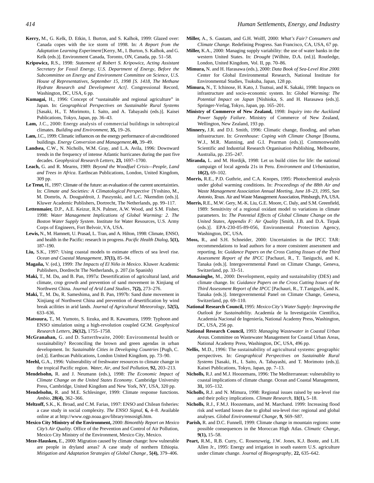- **Kerry,** M., G. Kelk, D. Etkin, I. Burton, and S. Kalhok, 1999: Glazed over: Canada copes with the ice storm of 1998. In: *A Report from the Adaptation Learning Experiment*[Kerry, M., I. Burton, S. Kalhok, and G. Kelk (eds.)]. Environment Canada, Toronto, ON, Canada, pp. 51–58.
- **Kripowicz,** R.S., 1998: *Statement of Robert S. Kripowicz, Acting Assistant Secretary for Fossil Energy, U.S. Department of Energy, Before the Subcommittee on Energy and Environment Committee on Science, U.S. House of Representatives, September 15, 1998 [S. 1418, The Methane Hydrate Research and Development Act]*. Congressional Record, Washington, DC, USA, 6 pp.
- **Kumagai,** H., 1996: Concept of "sustainable and regional agriculture" in Japan. In: *Geographical Perspectives on Sustainable Rural Systems* [Sasaki, H., T. Morimoto, I. Saito, and A. Tabayashi (eds.)]. Kaisei Publications, Tokyo, Japan, pp. 36–43.
- Lam, J.C., 2000: Energy analysis of commercial buildings in subtropical climates. *Building and Environment*, 35, 19-26.
- Lam, J.C., 1999: Climatic influences on the energy performance of air-conditioned buildings. *Energy Conversion and Management*,**40,** 39–49.
- **Landsea,** C.W., N. Nicholls, W.M. Gray, and L.A. Avila, 1996: Downward trends in the frequency of intense Atlantic hurricanes during the past five decades. *Geophysical Research Letters*, **23,** 1697–1700.
- **Leach,** G. and R. Mearns, 1989: *Beyond the Woodfuel Crisis—People, Land and Trees in Africa*. Earthscan Publications, London, United Kingdom, 309 pp.
- Le Treut, H., 1997: Climate of the future: an evaluation of the current uncertainties. In: *Climate and Societies: A Climatological Perspective* [Yoshino, M., M. Domrös, A. Douguédroit, J. Paszynski, and L.C. Nkemdim (eds.)]. Kluwer Academic Publishers, Dortrecht, The Netherlands, pp. 99–117.
- **Lettenmaier,** D.P., A.E. Keizur, R.N. Palmer, A.W. Wood, and S.M. Fisher, 1998: *Water Management Implications of Global Warming: 2. The Boston Water Supply System*. Institute for Water Resources, U.S. Army Corps of Engineers, Fort Belvoir, VA, USA.
- Lewis, N., M. Hamnett, U. Prasad, L. Tran, and A. Hilton, 1998: Climate, ENSO, and health in the Pacific: research in progress. *Pacific Health Dialog*, **5(1)**,  $187 - 190.$
- **Liu,** S.K., 1997: Using coastal models to estimate effects of sea level rise. *Ocean and Coastal Management*, **37(1),** 85–94.
- **Magaña,** V. (ed.), 1999: *The Impacts of El Niño in Mexico*. Kluwer Academic Publishers, Dordrecht The Netherlands, p. 207.(in Spanish)
- **Maki,** T., M. Du, and B. Pan, 1997a: Desertification of agricultural land, arid climate, crop growth and prevention of sand movement in Xinjiang of Northwest China. *Journal of Arid Land Studies*, **7(2),** 273–276.
- **Maki,** T., M. Du, R. Sameshima, and B. Pan, 1997b: Sand dune movement in Xinjiang of Northwest China and prevention of desertification by wind break acilities in arid lands. *Journal of Agricultural Meteorology*, **52(5),** 633–636.
- **Matsuura,** T., M. Yumoto, S. Iizuka, and R. Kawamura, 1999: Typhoon and ENSO simulation using a high-revolution coupled GCM. *Geophysical Research Letters*, **26(12),** 1755–1758.
- McGranahan, G. and D. Satterthwaite, 2000: Environmental health or sustainability? Reconciling the brown and green agendas in urban development. In: Sustainable Cities in Developing Countries [Pugh, C. (ed.)]. Earthscan Publications, London United Kingdom, pp. 73–90.
- **Meehl,** G.A., 1996: Vulnerability of freshwater resources to climate change in the tropical Pacific region. *Water, Air, and Soil Pollution*, **92,** 203–213.
- **Mendelsohn,** R. and J. Neumann (eds.), 1998: *The Economic Impact of Climate Change on the United States Economy*. Cambridge University Press, Cambridge, United Kingdom and New York, NY, USA, 320 pp.
- **Mendelsohn,** R. and M.E. Schlesinger, 1999: Climate response functions. *Ambio*, **28(4),** 362–366.
- **Meltzoff,** S.K., K. Broad, and C.M. Farias, 1997: ENSO and Chilean fisheries: a case study in social complexity. *The ENSO Signal*, **6,** 4–8. Available online at at http://www.ogp.noaa.gov/library/ensosig6.htm.
- **Mexico City Ministry of the Environment,** 2000: *Bimonthly Report on Mexico City's Air Quality*. Office of the Prevention and Control of Air Pollution, Mexico City Ministry of the Environment, Mexico City, Mexico.
- **Meze-Hausken,** E., 2000: Migration caused by climate change: how vulnerable are people in dryland areas? A case study of northern Ethiopia. *Mitigation and Adaptation Strategies of Global Change* , **5(4),** 379–406.
- **Miller,** A., S. Gautam, and G.H. Wolff, 2000: *What's Fair? Consumers and Climate Change.* Redefining Progress. San Francisco, CA, USA, 67 pp.
- **Miller,** K.A., 2000: Managing supply variability: the use of water banks in the western United States. In: *Drought* [Wilhite, D.A. (ed.)]. Routledge, London, United Kingdom, Vol. II, pp. 70–86.
- **Mimura,** N. and H. Harasawa (eds.), 2000: *Data Book of Sea-Level Rise 2000*. Center for Global Environmental Research, National Institute for Environmental Studies, Tsukuba, Japan, 128 pp.
- **Mimura,** N., T. Ichinose, H. Kato, J. Tsutsui, and K. Sakaki, 1998: Impacts on infrastructure and socio-economic system. In: *Global Warming: The Potential Impact on Japan* [Nishioka, S. and H. Harasawa (eds.)]. Springer-Verlag, Tokyo, Japan, pp. 165–201.
- **Ministry of Commerce of New Zealand,** 1998: *Inquiry into the Auckland Power Supply Failure*. Ministry of Commerce of New Zealand, Wellington, New Zealand, 193 pp.
- **Minnery,** J.R. and D.I. Smith, 1996: Climatic change, flooding, and urban infrastructure. In: *Greenhouse: Coping with Climate Change* [Bouma, W.J., M.R. Manning, and G.I. Pearman (eds.)]. Commonwealth Scientific and Industrial Research Organisation Publishing, Melbourne, Australia, pp. 235–247.
- **Miranda,** L. and M. Hordijk, 1998: Let us build cities for life: the national campaign of local agenda 21s in Peru. *Environment and Urbanization*, **10(2),** 69–102.
- **Morris,** R.E., P.D. Guthrie, and C.A. Knopes, 1995: Photochemical analysis under global warming conditions. In: *Proceedings of the 88th Air and Waste Management Association Annual Meeting, June 18–23, 1995, San Antonio, Texas. Air and Waste Management Association, Pittsburgh, PA, USA.*
- Morris, R.E., M.W. Gery, M.-K. Liu, G.E. Moore, C. Daly, and S.M. Greenfield, 1989: Sensitivity of a regional oxidant model to variations in climate parameters. In: *The Potential Effects of Global Climate Change on the United States, Appendix F: Air Quality* [Smith, J.B. and D.A. Tirpak (eds.)]. EPA-230-05-89-056, Environmental Protection Agency, Washington, DC, USA.
- Moss, R., and S.H. Schneider, 2000: Uncertainties in the IPCC TAR: recommendations to lead authors for a more consistent assessment and reporting. In: *Guidance Papers on the Cross Cutting Iissues of the Third Assessment Report of the IPCC* [Pachauri, R., T. Taniguchi, and K. Tanaka (eds.)]. Intergovernmental Panel on Climate Change, Geneva, Switzerland, pp. 33–51.
- **Munasinghe, M., 2000: Development, equity and sustainability (DES) and** climate change. In: *Guidance Papers on the Cross Cutting Issues of the Third Assessment Report of the IPCC* [Pachauri, R., T.Taniguchi, and K. Tanaka (eds.)]. Intergovernmental Panel on Climate Change, Geneva, Switzerland, pp. 69–110.
- **National Research Council,** 1995: *Mexico City's Water Supply: Improving the Outlook for Sustainability*. Academía de la Investigación Científica, Academía Nacional de Ingeniería, National Academy Press, Washington, DC, USA, 256 pp.
- **National Research Council,** 1993: *Managing Wastewater in Coastal Urban Areas*. Committee on Wastewater Management for Coastal Urban Areas, National Academy Press, Washington, DC, USA, 496 pp.
- Nellis, M.D., 1996: The sustainability of agricultural systems: geographic perspectives. In: *Geographical Perspectives on Sustainable Rural Systems* [Sasaki, H., I. Saito, A. Tabayashi, and T. Morimoto (eds.)]. Kaisei Publications, Tokyo, Japan, pp. 7–13.
- **Nicholls,** R.J. and M.J. Hoozemans, 1996: The Mediterranean: vulnerability to coastal implications of climate change. Ocean and Coastal Management, **31,** 105–132.
- **Nicholls,** R.J. and N. Mimura, 1998: Regional issues raised by sea-level rise and their policy implications. *Climate Research*, **11(1**)**,** 5–18.
- **Nicholls,** R.J., F.M.J. Hoozemans, and M. Marchand. 1999: Increasing flood risk and wetland losses due to global sea-level rise: regional and global analyses. *Global Environmental Change*, **9,** S69–S87.
- **Parish,** R. and D.C. Funnell, 1999: Climate change in mountain regions: some possible consequences in the Moroccan High Atlas. *Climatic Change*, **9(1),** 15–58.
- **Peart,** R.M., R.B. Curry, C. Rosenzweig, J.W. Jones, K.J. Boote, and L.H. Allen Jr., 1995: Energy and irrigation in south eastern U.S. agriculture under climate change. *Journal of Biogeography*, **22,** 635–642.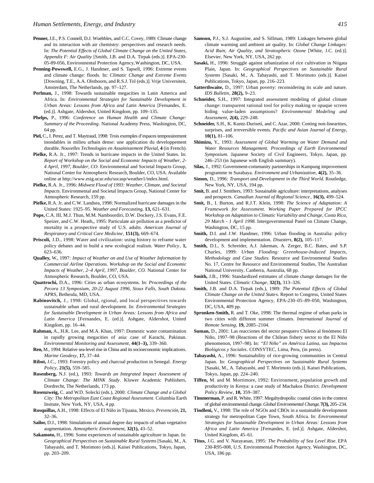- Penner, J.E., P.S. Connell, D.J. Wuebbles, and C.C. Covey, 1989: Climate change and its interaction with air chemistry: perspectives and research needs. In: *The Potential Effects of Global Climate Change on the United States, Appendix F: Air Quality* [Smith, J.B. and D.A. Tirpak (eds.)]. EPA-230- 05-89-056, Environmental Protection Agency, Washington, DC, USA.
- **Penning-Powswell,** E.G., J. Handmer, and S. Tapsell, 1996: Extreme events and climate change: floods. In: *Climatic Change and Extreme Events* [Downing, T.E., A.A. Olsthoorn, and R.S.J. Tol (eds.)]. Vrije Universiteit, Amsterdam, The Netherlands, pp. 97–127.
- Perlman, J., 1998: Towards sustainable megacities in Latin America and Africa. In: *Environmental Strategies for Sustainable Development in Urban Areas: Lessons from Africa and Latin America* [Fernandes, E. (ed.)]. Ashgate, Aldershot, United Kingdom, pp. 109–135.
- Phelps, P., 1996: *Conference on Human Health and Climate Change: Summary of the Proceeding*. National Academy Press, Washington, DC, 64 pp.
- Piel, C., I. Perez, and T. Maytraud, 1998: Trois exemples d'espaces temporairement inondables in milieu urbain dense: une application du developpement durable. *Nouvelles Technologies en Assainissement Pluvial*, **4** (in French).
- **Pielke,** R.A. Jr., 1997: Trends in hurricane impacts in the United States. In: *Report of Workshop on the Social and Economic Impacts of Weather, 2- 4 April, 1997, Boulder, CO*. Environmental and Societal Impacts Group, National Center for Atmospheric Research, Boulder, CO, USA. Available online at http://www.esig.ucar.edu/socasp/weather1/index.html.
- **Pielke,** R.A. Jr., 1996: *Midwest Flood of 1993: Weather, Climate, and Societal Impacts*. Environmental and Societal Impacts Group, National Center for Atmospheric Research, 159 pp.
- **Pielke,** R.A. Jr. and C.W. Landsea, 1998: Normalized hurricane damages in the United States: 1925–95. *Weather and Forecasting*, **13,** 621–631.
- **Pope,** C.A. III, M.J. Thun, M.M. Namboordiri, D.W. Dockery, J.S. Evans, F.E. Speizer, and C.W. Heath,, 1995: Particulate air pollution as a predictor of mortality in a prospective study of U.S. adults. *American Journal of Respiratory and Critical Care Medicine*, **151(3),** 669–674.
- **Priscoli, J.D., 1998: Water and civilization: using history to reframe water** policy debates and to build a new ecological realism. Water Policy, 1, 623–636.
- **Qualley,** W., 1997: *Impact of Weather on and Use of Weather Information by Commercial Airline Operations. Workshop on the Social and Economic Impacts of Weather, 2–4 April, 1997, Boulder, CO*. National Center for Atmospheric Research, Boulder, CO, USA.
- **Quattrochi,** D.A., 1996: Cities as urban ecosystems. In: *Proceedings of the Pecora 13 Symposium, 20-22 August 1996, Sioux Falls, South Dakota*. APRS, Bethesda, MD, USA.
- Rabinovitch, J., 1998: Global, rgional, and local perspectives towards sustainable urban and rural development. In: *Environmental Strategies for Sustainable Development in Urban Areas: Lessons from Africa and* Latin America [Fernandes, E. (ed.)]. Ashgate, Aldershot, United Kingdom, pp. 16–44.
- **Rahman,** A., H.K. Lee, and M.A. Khan, 1997: Domestic water contamination in rapidly growing megacities of asia: case of Karachi, Pakistan. *Environmental Monitoring and Assessment*, **44(1–3),** 339–360.
- **Ren,** M., 1994: Relative sea-level rise in China and its socioeconomic implications. *Marine Geodesy*, **17,** 37–44.
- **Ribot,** J.C., 1993: Forestry policy and charcoal production in Senegal. *Energy Policy*, **21(5),** 559–585.
- **Rosenberg,** N.J. (ed.), 1993: *Towards an Integrated Impact Assessment of Climate Change: The MINK Study*. Kluwer Academic Publishers, Dordrecht, The Netherlands, 173 pp.
- **Rosenzweig,** C. and W.D. Solecki (eds.), 2000: *Climate Change and a Global City: The Metropolitan East Coast Regional Assessment*. Columbia Earth Insitute, New York, NY, USA, 4 pp.
- **Rosquillas,**A.H., 1998: Effects of El Niño in Tijuana, Mexico. *Prevención*, **21,** 32–36.
- Sailor, D.J., 1998: Simulations of annual degree day impacts of urban vegetative augmentation. *Atmospheric Environment*, **32(1),** 43–52.
- **Sakamoto,** H., 1996: Some experiences of sustainable agriculture in Japan. In: *Geographical Perspectives on Sustainable Rural Systems*[Sasaki, M., A. Tabayashi, and T. Morimoto (eds.)]. Kaisei Publications, Tokyo, Japan, pp. 203–209.
- **Samson,** P.J., S.J. Augustine, and S. Sillman, 1989: Linkages between global climate warming and ambient air quality. In: *Global Change Linkages: Acid Rain, Air Quality, and Stratospheric Ozone* [White, J.C. (ed.)]. Elsevier, New York, NY, USA, 262 pp.
- **Sasaki,** H., 1996: Struggle against urbanization of rice cultivation in Niigata Plain, Japan. In: *Geographical Perspectives on Sustainable Rural Systems* [Sasaki, M., A. Tabayashi, and T. Morimoto (eds.)]. Kaisei Publications, Tokyo, Japan, pp. 216–223.
- **Satterthwaite,** D., 1997: Urban poverty: reconsidering its scale and nature. *IDS Bulletin*, **28(2),** 9–23.
- **Schneider,** S.H., 1997: Integrated assessment modeling of global climate change: transparent rational tool for policy making or opaque screen hiding value-laden assumptions? *Environmental Modeling and Assessment*, **2(4),** 229–248.
- Schneider, S.H., K. Kuntz-Duriseti, and C. Azar, 2000: Costing non-linearities, surprises, and irreversible events. *Pacific and Asian Journal of Energy*, **10(1),** 81–106.
- **Shimizu,** Y., 1993: *Assessment of Global Warming on Water Demand and Water Resources Management. Proceedings of Earth Environmental Symposium*. Japanese Society of Civil Engineers, Tokyo, Japan, pp. 246–253 (in Japanese with English summary).
- Silas, J., 1992: Government-community partnerships in Kampung improvement programme in Surabaya. *Environment and Urbanization*, **4(2),** 35–36.
- **Simon,** D., 1996: *Transport and Development in the Third World*. Routledge, New York, NY, USA, 194 pp.
- Smit, B. and J. Smithers, 1993: Sustainable agriculture: interpretations, analyses and prospects. *Canadian Journal of Regional Science*, **16(3),** 499–524.
- **Smit,** B., I. Burton, and R.J.T. Klein, 1998: *The Science of Adaptation: A Framework for Assessment. Working Paper Prepared for IPCC Workshop on Adaptation to Climatic Variability and Change, Costa Rica, 29 March - 1 April 1998*. Intergovernmental Panel on Climate Change, Washington, DC, 15 pp.
- **Smith,** D.I. and J.W. Handmer, 1996: Urban flooding in Australia: policy development and implementation. *Disasters*, **8(2),** 105–117.
- **Smith,** D.I., S. Schreider, A.J. Jakeman, A. Zerger, B.C. Bates, and S.P. Charles, 1999: *Urban Flooding: Greenhouse-Induced Impacts, Methodology and Case Studies*. Resource and Environmental Studies No. 17, Centre for Resource and Environmental Studies, The Australian National University, Canberra, Australia, 68 pp.
- **Smith,** J.B., 1996: Standardized estimates of climate change damages for the United States. *Climatic Change*, **32(3),** 313–326.
- **Smith,** J.B. and D.A. Tirpak (eds.), 1989: *The Potential Effects of Global Climate Change on the United State*s. Report to Congress, United States Environmental Protection Agency, EPA-230–05–89–050, Washington, DC, USA, 409 pp.
- **Spronken-Smith,** R. and T. Oke, 1998: The thermal regime of urban parks in two cities with different summer climates. *International Journal of Remote Sensing*, **19,** 2085–2104.
- **Suman,** D., 2001: Las reacciones del sector pesquero Chileno al fenómeno El Niño, 1997–98 (Reactions of the Chilean fishery sector to the El Niño phenomenon, 1997–98). In: *"El Niño" en América Latina, sus Impactos Biológicos y Sociales*. CONSYTEC, Lima, Peru, (in press).
- **Tabayashi,** A., 1996: Sustainability of rice-growing communities in Central Japan. In: *Geographical Perspectives on Sustainable Rural Systems* [Sasaki, M., A. Tabayashi, and T. Morimoto (eds.)]. Kaisei Publications, Tokyo, Japan, pp. 224–240.
- Tiffen, M. and M. Mortimore, 1992: Environment, population growth and productivity in Kenya: a case study of Machakos District. *Development Policy Review*, **10,** 359–387.
- Timmerman, P. and R. White, 1997: Megahydropolis: coastal cities in the context of global environmental change. *Global Environmental Change*, **7(3)**, 205–234.
- **Tindleni,** V., 1998: The role of NGOs and CBOs in a sustainable development strategy for metropolitan Cape Town, South Africa. In: *Environmental Strategies for Sustainable Development in Urban Areas: Lessons from Africa and Latin America* [Fernandes, E. (ed.)]. Ashgate, Aldershot, United Kingdom, 45–61.
- **Titus,** J.G. and V. Narayanan, 1995: *The Probability of Sea Level Rise*. EPA 230-R95-008, U.S. Environmental Protection Agency, Washington, DC, USA, 186 pp.